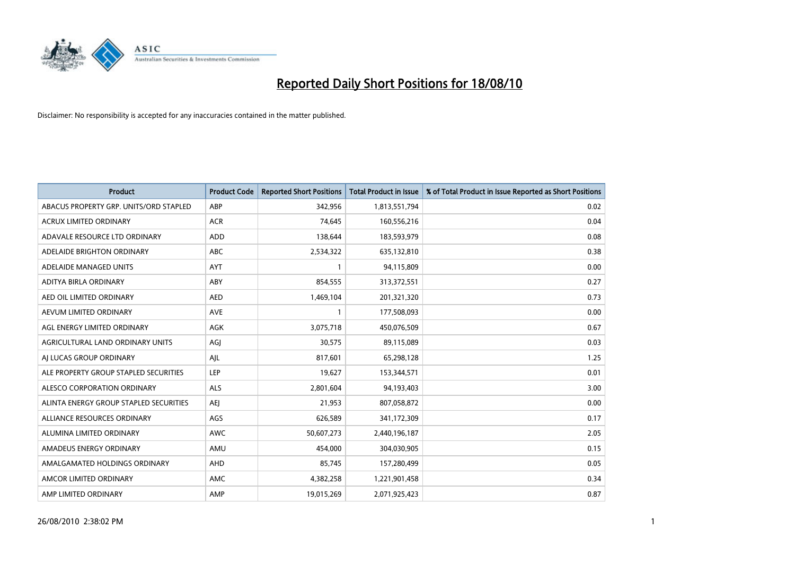

| <b>Product</b>                         | <b>Product Code</b> | <b>Reported Short Positions</b> | <b>Total Product in Issue</b> | % of Total Product in Issue Reported as Short Positions |
|----------------------------------------|---------------------|---------------------------------|-------------------------------|---------------------------------------------------------|
| ABACUS PROPERTY GRP. UNITS/ORD STAPLED | ABP                 | 342,956                         | 1,813,551,794                 | 0.02                                                    |
| <b>ACRUX LIMITED ORDINARY</b>          | <b>ACR</b>          | 74.645                          | 160,556,216                   | 0.04                                                    |
| ADAVALE RESOURCE LTD ORDINARY          | ADD                 | 138,644                         | 183,593,979                   | 0.08                                                    |
| ADELAIDE BRIGHTON ORDINARY             | <b>ABC</b>          | 2,534,322                       | 635,132,810                   | 0.38                                                    |
| ADELAIDE MANAGED UNITS                 | <b>AYT</b>          |                                 | 94,115,809                    | 0.00                                                    |
| ADITYA BIRLA ORDINARY                  | ABY                 | 854,555                         | 313,372,551                   | 0.27                                                    |
| AED OIL LIMITED ORDINARY               | <b>AED</b>          | 1,469,104                       | 201,321,320                   | 0.73                                                    |
| AEVUM LIMITED ORDINARY                 | <b>AVE</b>          |                                 | 177,508,093                   | 0.00                                                    |
| AGL ENERGY LIMITED ORDINARY            | <b>AGK</b>          | 3,075,718                       | 450,076,509                   | 0.67                                                    |
| AGRICULTURAL LAND ORDINARY UNITS       | AGI                 | 30,575                          | 89,115,089                    | 0.03                                                    |
| AI LUCAS GROUP ORDINARY                | AJL                 | 817,601                         | 65,298,128                    | 1.25                                                    |
| ALE PROPERTY GROUP STAPLED SECURITIES  | <b>LEP</b>          | 19,627                          | 153,344,571                   | 0.01                                                    |
| ALESCO CORPORATION ORDINARY            | <b>ALS</b>          | 2,801,604                       | 94,193,403                    | 3.00                                                    |
| ALINTA ENERGY GROUP STAPLED SECURITIES | <b>AEI</b>          | 21,953                          | 807,058,872                   | 0.00                                                    |
| ALLIANCE RESOURCES ORDINARY            | AGS                 | 626,589                         | 341,172,309                   | 0.17                                                    |
| ALUMINA LIMITED ORDINARY               | <b>AWC</b>          | 50,607,273                      | 2,440,196,187                 | 2.05                                                    |
| AMADEUS ENERGY ORDINARY                | AMU                 | 454,000                         | 304,030,905                   | 0.15                                                    |
| AMALGAMATED HOLDINGS ORDINARY          | AHD                 | 85,745                          | 157,280,499                   | 0.05                                                    |
| AMCOR LIMITED ORDINARY                 | AMC                 | 4,382,258                       | 1,221,901,458                 | 0.34                                                    |
| AMP LIMITED ORDINARY                   | AMP                 | 19,015,269                      | 2,071,925,423                 | 0.87                                                    |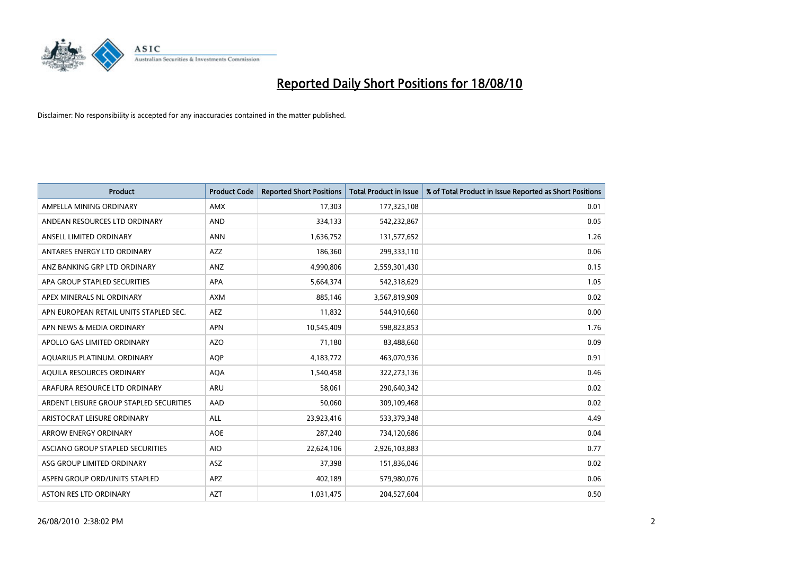

| <b>Product</b>                          | <b>Product Code</b> | <b>Reported Short Positions</b> | Total Product in Issue | % of Total Product in Issue Reported as Short Positions |
|-----------------------------------------|---------------------|---------------------------------|------------------------|---------------------------------------------------------|
| AMPELLA MINING ORDINARY                 | <b>AMX</b>          | 17,303                          | 177,325,108            | 0.01                                                    |
| ANDEAN RESOURCES LTD ORDINARY           | <b>AND</b>          | 334,133                         | 542,232,867            | 0.05                                                    |
| ANSELL LIMITED ORDINARY                 | <b>ANN</b>          | 1,636,752                       | 131,577,652            | 1.26                                                    |
| ANTARES ENERGY LTD ORDINARY             | <b>AZZ</b>          | 186,360                         | 299,333,110            | 0.06                                                    |
| ANZ BANKING GRP LTD ORDINARY            | ANZ                 | 4,990,806                       | 2,559,301,430          | 0.15                                                    |
| APA GROUP STAPLED SECURITIES            | <b>APA</b>          | 5,664,374                       | 542,318,629            | 1.05                                                    |
| APEX MINERALS NL ORDINARY               | <b>AXM</b>          | 885,146                         | 3,567,819,909          | 0.02                                                    |
| APN EUROPEAN RETAIL UNITS STAPLED SEC.  | <b>AEZ</b>          | 11,832                          | 544,910,660            | 0.00                                                    |
| APN NEWS & MEDIA ORDINARY               | <b>APN</b>          | 10,545,409                      | 598,823,853            | 1.76                                                    |
| APOLLO GAS LIMITED ORDINARY             | <b>AZO</b>          | 71,180                          | 83,488,660             | 0.09                                                    |
| AQUARIUS PLATINUM. ORDINARY             | <b>AOP</b>          | 4,183,772                       | 463,070,936            | 0.91                                                    |
| AQUILA RESOURCES ORDINARY               | <b>AQA</b>          | 1,540,458                       | 322,273,136            | 0.46                                                    |
| ARAFURA RESOURCE LTD ORDINARY           | <b>ARU</b>          | 58,061                          | 290,640,342            | 0.02                                                    |
| ARDENT LEISURE GROUP STAPLED SECURITIES | AAD                 | 50,060                          | 309,109,468            | 0.02                                                    |
| ARISTOCRAT LEISURE ORDINARY             | <b>ALL</b>          | 23,923,416                      | 533,379,348            | 4.49                                                    |
| ARROW ENERGY ORDINARY                   | <b>AOE</b>          | 287,240                         | 734,120,686            | 0.04                                                    |
| ASCIANO GROUP STAPLED SECURITIES        | <b>AIO</b>          | 22,624,106                      | 2,926,103,883          | 0.77                                                    |
| ASG GROUP LIMITED ORDINARY              | <b>ASZ</b>          | 37,398                          | 151,836,046            | 0.02                                                    |
| ASPEN GROUP ORD/UNITS STAPLED           | APZ                 | 402,189                         | 579,980,076            | 0.06                                                    |
| ASTON RES LTD ORDINARY                  | <b>AZT</b>          | 1,031,475                       | 204,527,604            | 0.50                                                    |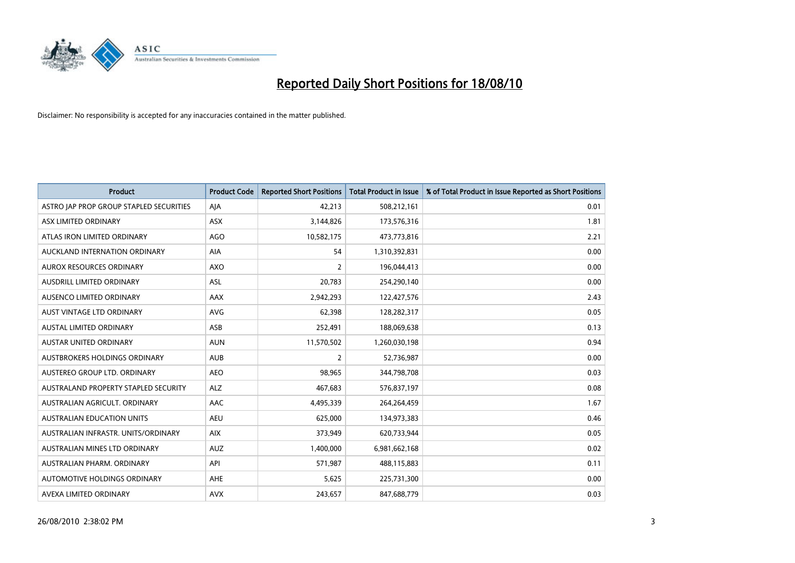

| <b>Product</b>                          | <b>Product Code</b> | <b>Reported Short Positions</b> | <b>Total Product in Issue</b> | % of Total Product in Issue Reported as Short Positions |
|-----------------------------------------|---------------------|---------------------------------|-------------------------------|---------------------------------------------------------|
| ASTRO JAP PROP GROUP STAPLED SECURITIES | AJA                 | 42,213                          | 508,212,161                   | 0.01                                                    |
| ASX LIMITED ORDINARY                    | <b>ASX</b>          | 3,144,826                       | 173,576,316                   | 1.81                                                    |
| ATLAS IRON LIMITED ORDINARY             | <b>AGO</b>          | 10,582,175                      | 473,773,816                   | 2.21                                                    |
| AUCKLAND INTERNATION ORDINARY           | AIA                 | 54                              | 1,310,392,831                 | 0.00                                                    |
| <b>AUROX RESOURCES ORDINARY</b>         | AXO                 | 2                               | 196,044,413                   | 0.00                                                    |
| <b>AUSDRILL LIMITED ORDINARY</b>        | ASL                 | 20,783                          | 254,290,140                   | 0.00                                                    |
| AUSENCO LIMITED ORDINARY                | <b>AAX</b>          | 2,942,293                       | 122,427,576                   | 2.43                                                    |
| AUST VINTAGE LTD ORDINARY               | <b>AVG</b>          | 62,398                          | 128,282,317                   | 0.05                                                    |
| <b>AUSTAL LIMITED ORDINARY</b>          | ASB                 | 252,491                         | 188,069,638                   | 0.13                                                    |
| <b>AUSTAR UNITED ORDINARY</b>           | <b>AUN</b>          | 11,570,502                      | 1,260,030,198                 | 0.94                                                    |
| AUSTBROKERS HOLDINGS ORDINARY           | <b>AUB</b>          | $\overline{2}$                  | 52,736,987                    | 0.00                                                    |
| AUSTEREO GROUP LTD. ORDINARY            | <b>AEO</b>          | 98,965                          | 344,798,708                   | 0.03                                                    |
| AUSTRALAND PROPERTY STAPLED SECURITY    | <b>ALZ</b>          | 467,683                         | 576,837,197                   | 0.08                                                    |
| AUSTRALIAN AGRICULT. ORDINARY           | AAC                 | 4,495,339                       | 264,264,459                   | 1.67                                                    |
| <b>AUSTRALIAN EDUCATION UNITS</b>       | <b>AEU</b>          | 625,000                         | 134,973,383                   | 0.46                                                    |
| AUSTRALIAN INFRASTR, UNITS/ORDINARY     | <b>AIX</b>          | 373,949                         | 620,733,944                   | 0.05                                                    |
| AUSTRALIAN MINES LTD ORDINARY           | <b>AUZ</b>          | 1,400,000                       | 6,981,662,168                 | 0.02                                                    |
| AUSTRALIAN PHARM. ORDINARY              | API                 | 571,987                         | 488,115,883                   | 0.11                                                    |
| AUTOMOTIVE HOLDINGS ORDINARY            | AHE                 | 5,625                           | 225,731,300                   | 0.00                                                    |
| AVEXA LIMITED ORDINARY                  | <b>AVX</b>          | 243,657                         | 847,688,779                   | 0.03                                                    |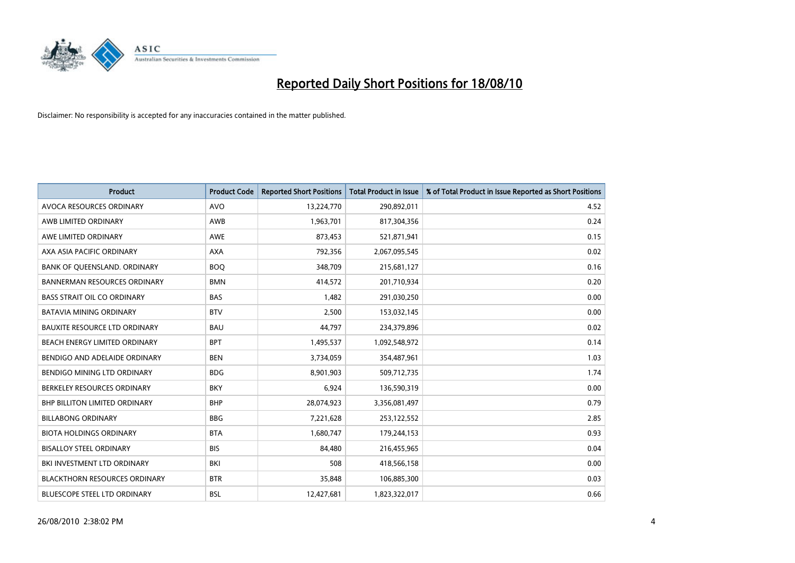

| <b>Product</b>                       | <b>Product Code</b> | <b>Reported Short Positions</b> | Total Product in Issue | % of Total Product in Issue Reported as Short Positions |
|--------------------------------------|---------------------|---------------------------------|------------------------|---------------------------------------------------------|
| AVOCA RESOURCES ORDINARY             | <b>AVO</b>          | 13,224,770                      | 290,892,011            | 4.52                                                    |
| AWB LIMITED ORDINARY                 | AWB                 | 1,963,701                       | 817,304,356            | 0.24                                                    |
| AWE LIMITED ORDINARY                 | <b>AWE</b>          | 873,453                         | 521,871,941            | 0.15                                                    |
| AXA ASIA PACIFIC ORDINARY            | <b>AXA</b>          | 792,356                         | 2,067,095,545          | 0.02                                                    |
| BANK OF QUEENSLAND. ORDINARY         | <b>BOO</b>          | 348,709                         | 215,681,127            | 0.16                                                    |
| <b>BANNERMAN RESOURCES ORDINARY</b>  | <b>BMN</b>          | 414,572                         | 201,710,934            | 0.20                                                    |
| <b>BASS STRAIT OIL CO ORDINARY</b>   | <b>BAS</b>          | 1,482                           | 291,030,250            | 0.00                                                    |
| <b>BATAVIA MINING ORDINARY</b>       | <b>BTV</b>          | 2,500                           | 153,032,145            | 0.00                                                    |
| <b>BAUXITE RESOURCE LTD ORDINARY</b> | <b>BAU</b>          | 44,797                          | 234,379,896            | 0.02                                                    |
| BEACH ENERGY LIMITED ORDINARY        | <b>BPT</b>          | 1,495,537                       | 1,092,548,972          | 0.14                                                    |
| BENDIGO AND ADELAIDE ORDINARY        | <b>BEN</b>          | 3,734,059                       | 354,487,961            | 1.03                                                    |
| <b>BENDIGO MINING LTD ORDINARY</b>   | <b>BDG</b>          | 8,901,903                       | 509,712,735            | 1.74                                                    |
| BERKELEY RESOURCES ORDINARY          | <b>BKY</b>          | 6,924                           | 136,590,319            | 0.00                                                    |
| <b>BHP BILLITON LIMITED ORDINARY</b> | <b>BHP</b>          | 28,074,923                      | 3,356,081,497          | 0.79                                                    |
| <b>BILLABONG ORDINARY</b>            | <b>BBG</b>          | 7,221,628                       | 253,122,552            | 2.85                                                    |
| <b>BIOTA HOLDINGS ORDINARY</b>       | <b>BTA</b>          | 1,680,747                       | 179,244,153            | 0.93                                                    |
| <b>BISALLOY STEEL ORDINARY</b>       | <b>BIS</b>          | 84,480                          | 216,455,965            | 0.04                                                    |
| BKI INVESTMENT LTD ORDINARY          | BKI                 | 508                             | 418,566,158            | 0.00                                                    |
| <b>BLACKTHORN RESOURCES ORDINARY</b> | <b>BTR</b>          | 35,848                          | 106,885,300            | 0.03                                                    |
| BLUESCOPE STEEL LTD ORDINARY         | <b>BSL</b>          | 12,427,681                      | 1,823,322,017          | 0.66                                                    |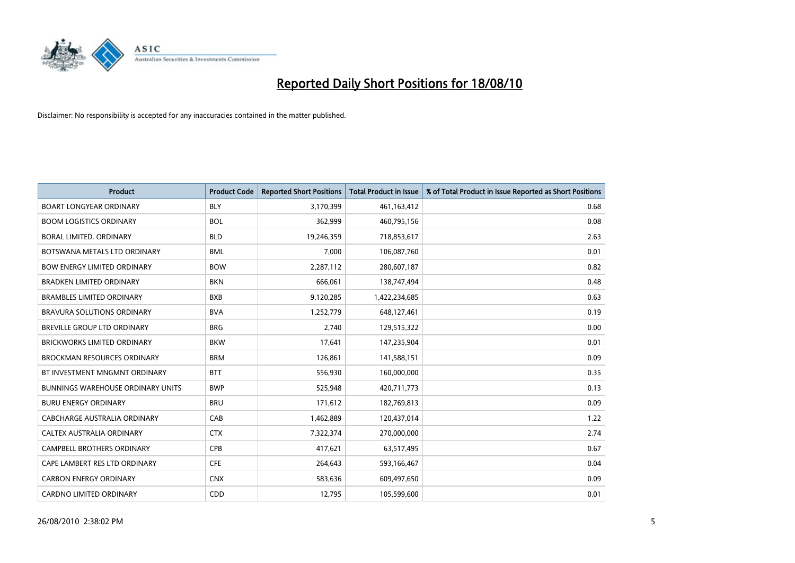

| <b>Product</b>                           | <b>Product Code</b> | <b>Reported Short Positions</b> | <b>Total Product in Issue</b> | % of Total Product in Issue Reported as Short Positions |
|------------------------------------------|---------------------|---------------------------------|-------------------------------|---------------------------------------------------------|
| <b>BOART LONGYEAR ORDINARY</b>           | <b>BLY</b>          | 3,170,399                       | 461,163,412                   | 0.68                                                    |
| <b>BOOM LOGISTICS ORDINARY</b>           | <b>BOL</b>          | 362,999                         | 460,795,156                   | 0.08                                                    |
| <b>BORAL LIMITED, ORDINARY</b>           | <b>BLD</b>          | 19,246,359                      | 718,853,617                   | 2.63                                                    |
| BOTSWANA METALS LTD ORDINARY             | <b>BML</b>          | 7,000                           | 106,087,760                   | 0.01                                                    |
| <b>BOW ENERGY LIMITED ORDINARY</b>       | <b>BOW</b>          | 2,287,112                       | 280,607,187                   | 0.82                                                    |
| <b>BRADKEN LIMITED ORDINARY</b>          | <b>BKN</b>          | 666,061                         | 138,747,494                   | 0.48                                                    |
| <b>BRAMBLES LIMITED ORDINARY</b>         | <b>BXB</b>          | 9,120,285                       | 1,422,234,685                 | 0.63                                                    |
| BRAVURA SOLUTIONS ORDINARY               | <b>BVA</b>          | 1,252,779                       | 648,127,461                   | 0.19                                                    |
| BREVILLE GROUP LTD ORDINARY              | <b>BRG</b>          | 2,740                           | 129,515,322                   | 0.00                                                    |
| <b>BRICKWORKS LIMITED ORDINARY</b>       | <b>BKW</b>          | 17,641                          | 147,235,904                   | 0.01                                                    |
| <b>BROCKMAN RESOURCES ORDINARY</b>       | <b>BRM</b>          | 126,861                         | 141,588,151                   | 0.09                                                    |
| BT INVESTMENT MNGMNT ORDINARY            | <b>BTT</b>          | 556,930                         | 160,000,000                   | 0.35                                                    |
| <b>BUNNINGS WAREHOUSE ORDINARY UNITS</b> | <b>BWP</b>          | 525,948                         | 420,711,773                   | 0.13                                                    |
| <b>BURU ENERGY ORDINARY</b>              | <b>BRU</b>          | 171,612                         | 182,769,813                   | 0.09                                                    |
| CABCHARGE AUSTRALIA ORDINARY             | CAB                 | 1,462,889                       | 120,437,014                   | 1.22                                                    |
| CALTEX AUSTRALIA ORDINARY                | <b>CTX</b>          | 7,322,374                       | 270,000,000                   | 2.74                                                    |
| <b>CAMPBELL BROTHERS ORDINARY</b>        | <b>CPB</b>          | 417,621                         | 63,517,495                    | 0.67                                                    |
| CAPE LAMBERT RES LTD ORDINARY            | <b>CFE</b>          | 264,643                         | 593,166,467                   | 0.04                                                    |
| <b>CARBON ENERGY ORDINARY</b>            | <b>CNX</b>          | 583,636                         | 609,497,650                   | 0.09                                                    |
| <b>CARDNO LIMITED ORDINARY</b>           | CDD                 | 12.795                          | 105,599,600                   | 0.01                                                    |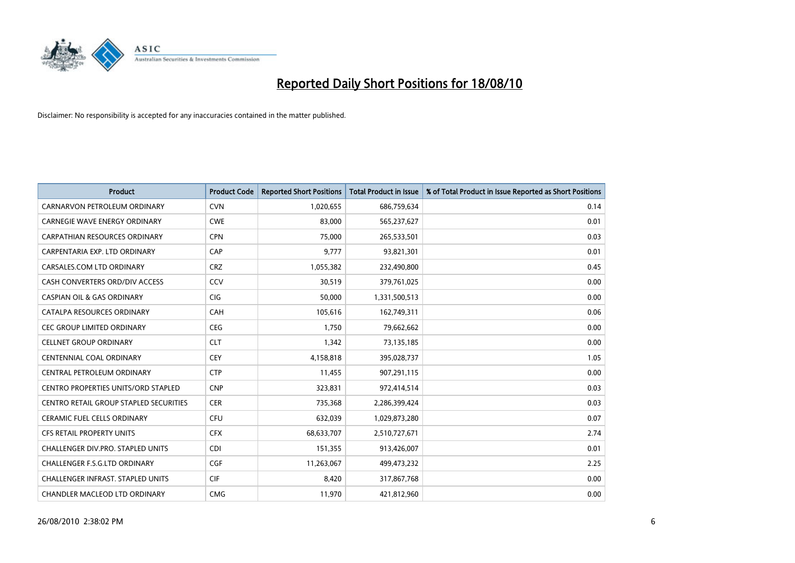

| <b>Product</b>                             | <b>Product Code</b> | <b>Reported Short Positions</b> | <b>Total Product in Issue</b> | % of Total Product in Issue Reported as Short Positions |
|--------------------------------------------|---------------------|---------------------------------|-------------------------------|---------------------------------------------------------|
| CARNARVON PETROLEUM ORDINARY               | <b>CVN</b>          | 1,020,655                       | 686,759,634                   | 0.14                                                    |
| <b>CARNEGIE WAVE ENERGY ORDINARY</b>       | <b>CWE</b>          | 83,000                          | 565,237,627                   | 0.01                                                    |
| <b>CARPATHIAN RESOURCES ORDINARY</b>       | <b>CPN</b>          | 75.000                          | 265,533,501                   | 0.03                                                    |
| CARPENTARIA EXP. LTD ORDINARY              | CAP                 | 9,777                           | 93,821,301                    | 0.01                                                    |
| CARSALES.COM LTD ORDINARY                  | <b>CRZ</b>          | 1,055,382                       | 232,490,800                   | 0.45                                                    |
| CASH CONVERTERS ORD/DIV ACCESS             | CCV                 | 30,519                          | 379,761,025                   | 0.00                                                    |
| <b>CASPIAN OIL &amp; GAS ORDINARY</b>      | <b>CIG</b>          | 50,000                          | 1,331,500,513                 | 0.00                                                    |
| CATALPA RESOURCES ORDINARY                 | <b>CAH</b>          | 105,616                         | 162,749,311                   | 0.06                                                    |
| CEC GROUP LIMITED ORDINARY                 | <b>CEG</b>          | 1,750                           | 79,662,662                    | 0.00                                                    |
| <b>CELLNET GROUP ORDINARY</b>              | <b>CLT</b>          | 1.342                           | 73,135,185                    | 0.00                                                    |
| <b>CENTENNIAL COAL ORDINARY</b>            | <b>CEY</b>          | 4,158,818                       | 395,028,737                   | 1.05                                                    |
| CENTRAL PETROLEUM ORDINARY                 | <b>CTP</b>          | 11,455                          | 907,291,115                   | 0.00                                                    |
| <b>CENTRO PROPERTIES UNITS/ORD STAPLED</b> | <b>CNP</b>          | 323,831                         | 972,414,514                   | 0.03                                                    |
| CENTRO RETAIL GROUP STAPLED SECURITIES     | <b>CER</b>          | 735,368                         | 2,286,399,424                 | 0.03                                                    |
| <b>CERAMIC FUEL CELLS ORDINARY</b>         | <b>CFU</b>          | 632,039                         | 1,029,873,280                 | 0.07                                                    |
| <b>CFS RETAIL PROPERTY UNITS</b>           | <b>CFX</b>          | 68,633,707                      | 2,510,727,671                 | 2.74                                                    |
| <b>CHALLENGER DIV.PRO. STAPLED UNITS</b>   | <b>CDI</b>          | 151,355                         | 913,426,007                   | 0.01                                                    |
| CHALLENGER F.S.G.LTD ORDINARY              | <b>CGF</b>          | 11,263,067                      | 499,473,232                   | 2.25                                                    |
| <b>CHALLENGER INFRAST, STAPLED UNITS</b>   | <b>CIF</b>          | 8,420                           | 317,867,768                   | 0.00                                                    |
| CHANDLER MACLEOD LTD ORDINARY              | <b>CMG</b>          | 11,970                          | 421,812,960                   | 0.00                                                    |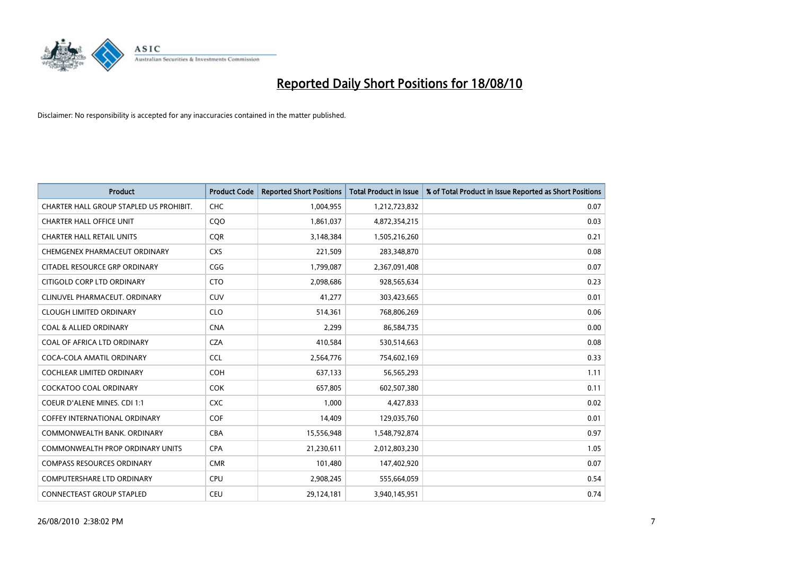

| <b>Product</b>                          | <b>Product Code</b> | <b>Reported Short Positions</b> | <b>Total Product in Issue</b> | % of Total Product in Issue Reported as Short Positions |
|-----------------------------------------|---------------------|---------------------------------|-------------------------------|---------------------------------------------------------|
| CHARTER HALL GROUP STAPLED US PROHIBIT. | <b>CHC</b>          | 1,004,955                       | 1,212,723,832                 | 0.07                                                    |
| <b>CHARTER HALL OFFICE UNIT</b>         | COO                 | 1,861,037                       | 4,872,354,215                 | 0.03                                                    |
| <b>CHARTER HALL RETAIL UNITS</b>        | <b>COR</b>          | 3,148,384                       | 1,505,216,260                 | 0.21                                                    |
| CHEMGENEX PHARMACEUT ORDINARY           | <b>CXS</b>          | 221,509                         | 283,348,870                   | 0.08                                                    |
| CITADEL RESOURCE GRP ORDINARY           | CGG                 | 1,799,087                       | 2,367,091,408                 | 0.07                                                    |
| CITIGOLD CORP LTD ORDINARY              | <b>CTO</b>          | 2,098,686                       | 928,565,634                   | 0.23                                                    |
| CLINUVEL PHARMACEUT, ORDINARY           | <b>CUV</b>          | 41,277                          | 303,423,665                   | 0.01                                                    |
| <b>CLOUGH LIMITED ORDINARY</b>          | <b>CLO</b>          | 514,361                         | 768,806,269                   | 0.06                                                    |
| <b>COAL &amp; ALLIED ORDINARY</b>       | <b>CNA</b>          | 2,299                           | 86,584,735                    | 0.00                                                    |
| COAL OF AFRICA LTD ORDINARY             | <b>CZA</b>          | 410,584                         | 530,514,663                   | 0.08                                                    |
| COCA-COLA AMATIL ORDINARY               | <b>CCL</b>          | 2,564,776                       | 754,602,169                   | 0.33                                                    |
| COCHLEAR LIMITED ORDINARY               | COH                 | 637,133                         | 56,565,293                    | 1.11                                                    |
| <b>COCKATOO COAL ORDINARY</b>           | <b>COK</b>          | 657,805                         | 602,507,380                   | 0.11                                                    |
| <b>COEUR D'ALENE MINES. CDI 1:1</b>     | <b>CXC</b>          | 1,000                           | 4,427,833                     | 0.02                                                    |
| <b>COFFEY INTERNATIONAL ORDINARY</b>    | COF                 | 14,409                          | 129,035,760                   | 0.01                                                    |
| COMMONWEALTH BANK, ORDINARY             | <b>CBA</b>          | 15,556,948                      | 1,548,792,874                 | 0.97                                                    |
| <b>COMMONWEALTH PROP ORDINARY UNITS</b> | <b>CPA</b>          | 21,230,611                      | 2,012,803,230                 | 1.05                                                    |
| <b>COMPASS RESOURCES ORDINARY</b>       | <b>CMR</b>          | 101,480                         | 147,402,920                   | 0.07                                                    |
| <b>COMPUTERSHARE LTD ORDINARY</b>       | <b>CPU</b>          | 2,908,245                       | 555,664,059                   | 0.54                                                    |
| CONNECTEAST GROUP STAPLED               | CEU                 | 29,124,181                      | 3,940,145,951                 | 0.74                                                    |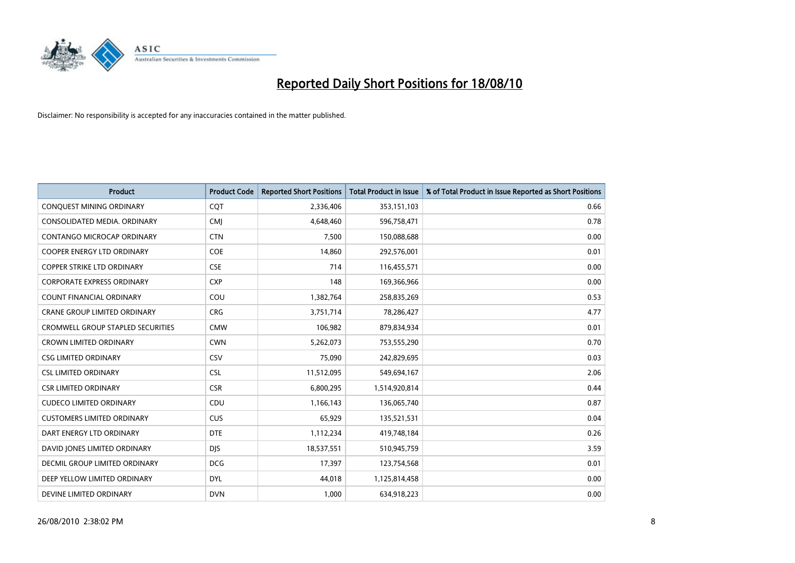

| <b>Product</b>                           | <b>Product Code</b> | <b>Reported Short Positions</b> | <b>Total Product in Issue</b> | % of Total Product in Issue Reported as Short Positions |
|------------------------------------------|---------------------|---------------------------------|-------------------------------|---------------------------------------------------------|
| CONQUEST MINING ORDINARY                 | CQT                 | 2,336,406                       | 353,151,103                   | 0.66                                                    |
| CONSOLIDATED MEDIA. ORDINARY             | <b>CMI</b>          | 4,648,460                       | 596,758,471                   | 0.78                                                    |
| <b>CONTANGO MICROCAP ORDINARY</b>        | <b>CTN</b>          | 7,500                           | 150,088,688                   | 0.00                                                    |
| COOPER ENERGY LTD ORDINARY               | <b>COE</b>          | 14,860                          | 292,576,001                   | 0.01                                                    |
| <b>COPPER STRIKE LTD ORDINARY</b>        | <b>CSE</b>          | 714                             | 116,455,571                   | 0.00                                                    |
| <b>CORPORATE EXPRESS ORDINARY</b>        | <b>CXP</b>          | 148                             | 169,366,966                   | 0.00                                                    |
| <b>COUNT FINANCIAL ORDINARY</b>          | COU                 | 1,382,764                       | 258,835,269                   | 0.53                                                    |
| CRANE GROUP LIMITED ORDINARY             | <b>CRG</b>          | 3,751,714                       | 78,286,427                    | 4.77                                                    |
| <b>CROMWELL GROUP STAPLED SECURITIES</b> | <b>CMW</b>          | 106,982                         | 879,834,934                   | 0.01                                                    |
| <b>CROWN LIMITED ORDINARY</b>            | <b>CWN</b>          | 5,262,073                       | 753,555,290                   | 0.70                                                    |
| <b>CSG LIMITED ORDINARY</b>              | CSV                 | 75,090                          | 242,829,695                   | 0.03                                                    |
| <b>CSL LIMITED ORDINARY</b>              | <b>CSL</b>          | 11,512,095                      | 549,694,167                   | 2.06                                                    |
| <b>CSR LIMITED ORDINARY</b>              | <b>CSR</b>          | 6,800,295                       | 1,514,920,814                 | 0.44                                                    |
| <b>CUDECO LIMITED ORDINARY</b>           | CDU                 | 1,166,143                       | 136,065,740                   | 0.87                                                    |
| <b>CUSTOMERS LIMITED ORDINARY</b>        | <b>CUS</b>          | 65,929                          | 135,521,531                   | 0.04                                                    |
| DART ENERGY LTD ORDINARY                 | <b>DTE</b>          | 1,112,234                       | 419,748,184                   | 0.26                                                    |
| DAVID JONES LIMITED ORDINARY             | <b>DJS</b>          | 18,537,551                      | 510,945,759                   | 3.59                                                    |
| <b>DECMIL GROUP LIMITED ORDINARY</b>     | <b>DCG</b>          | 17,397                          | 123,754,568                   | 0.01                                                    |
| DEEP YELLOW LIMITED ORDINARY             | <b>DYL</b>          | 44,018                          | 1,125,814,458                 | 0.00                                                    |
| DEVINE LIMITED ORDINARY                  | <b>DVN</b>          | 1.000                           | 634,918,223                   | 0.00                                                    |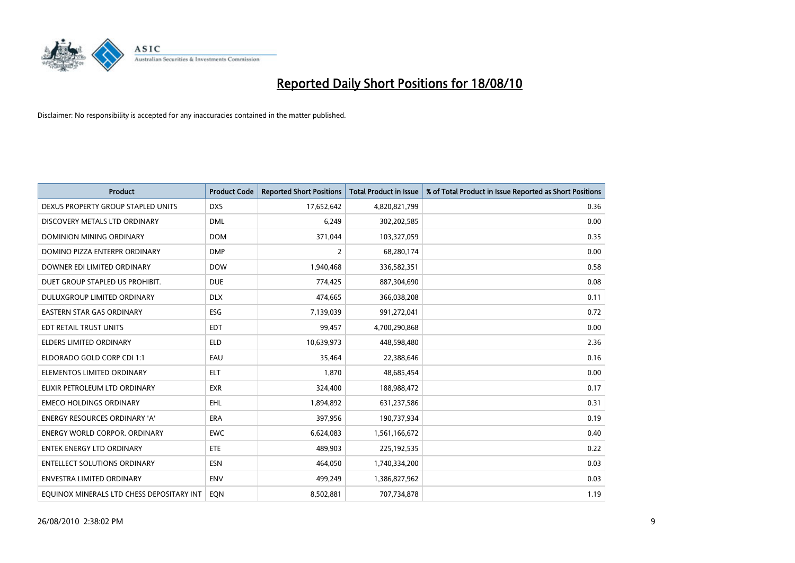

| <b>Product</b>                            | <b>Product Code</b> | <b>Reported Short Positions</b> | <b>Total Product in Issue</b> | % of Total Product in Issue Reported as Short Positions |
|-------------------------------------------|---------------------|---------------------------------|-------------------------------|---------------------------------------------------------|
| DEXUS PROPERTY GROUP STAPLED UNITS        | <b>DXS</b>          | 17,652,642                      | 4,820,821,799                 | 0.36                                                    |
| DISCOVERY METALS LTD ORDINARY             | <b>DML</b>          | 6,249                           | 302,202,585                   | 0.00                                                    |
| <b>DOMINION MINING ORDINARY</b>           | <b>DOM</b>          | 371,044                         | 103,327,059                   | 0.35                                                    |
| DOMINO PIZZA ENTERPR ORDINARY             | <b>DMP</b>          | 2                               | 68,280,174                    | 0.00                                                    |
| DOWNER EDI LIMITED ORDINARY               | <b>DOW</b>          | 1,940,468                       | 336,582,351                   | 0.58                                                    |
| DUET GROUP STAPLED US PROHIBIT.           | <b>DUE</b>          | 774,425                         | 887,304,690                   | 0.08                                                    |
| DULUXGROUP LIMITED ORDINARY               | <b>DLX</b>          | 474,665                         | 366,038,208                   | 0.11                                                    |
| <b>EASTERN STAR GAS ORDINARY</b>          | <b>ESG</b>          | 7,139,039                       | 991,272,041                   | 0.72                                                    |
| EDT RETAIL TRUST UNITS                    | <b>EDT</b>          | 99,457                          | 4,700,290,868                 | 0.00                                                    |
| <b>ELDERS LIMITED ORDINARY</b>            | <b>ELD</b>          | 10,639,973                      | 448,598,480                   | 2.36                                                    |
| ELDORADO GOLD CORP CDI 1:1                | EAU                 | 35,464                          | 22,388,646                    | 0.16                                                    |
| ELEMENTOS LIMITED ORDINARY                | <b>ELT</b>          | 1.870                           | 48,685,454                    | 0.00                                                    |
| ELIXIR PETROLEUM LTD ORDINARY             | <b>EXR</b>          | 324,400                         | 188,988,472                   | 0.17                                                    |
| <b>EMECO HOLDINGS ORDINARY</b>            | <b>EHL</b>          | 1,894,892                       | 631,237,586                   | 0.31                                                    |
| <b>ENERGY RESOURCES ORDINARY 'A'</b>      | <b>ERA</b>          | 397,956                         | 190,737,934                   | 0.19                                                    |
| <b>ENERGY WORLD CORPOR. ORDINARY</b>      | <b>EWC</b>          | 6,624,083                       | 1,561,166,672                 | 0.40                                                    |
| <b>ENTEK ENERGY LTD ORDINARY</b>          | <b>ETE</b>          | 489,903                         | 225,192,535                   | 0.22                                                    |
| <b>ENTELLECT SOLUTIONS ORDINARY</b>       | <b>ESN</b>          | 464,050                         | 1,740,334,200                 | 0.03                                                    |
| <b>ENVESTRA LIMITED ORDINARY</b>          | <b>ENV</b>          | 499,249                         | 1,386,827,962                 | 0.03                                                    |
| EQUINOX MINERALS LTD CHESS DEPOSITARY INT | <b>EON</b>          | 8,502,881                       | 707,734,878                   | 1.19                                                    |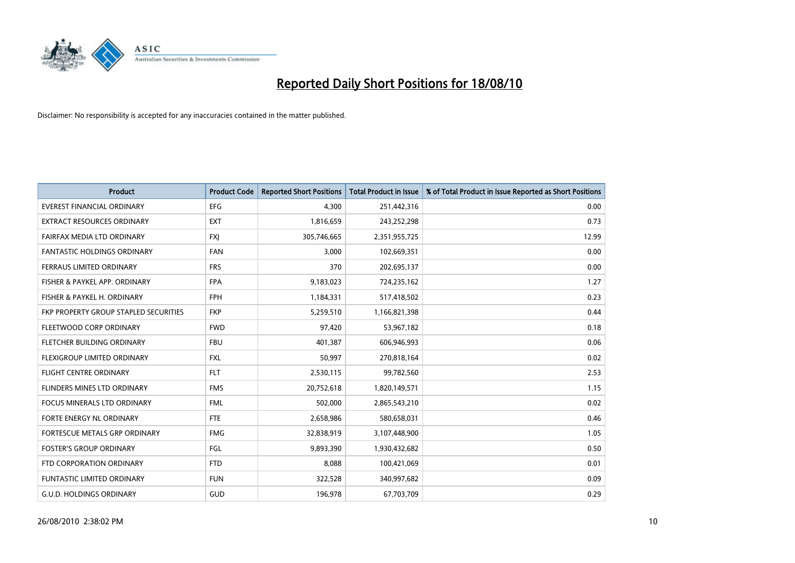

| <b>Product</b>                        | <b>Product Code</b> | <b>Reported Short Positions</b> | <b>Total Product in Issue</b> | % of Total Product in Issue Reported as Short Positions |
|---------------------------------------|---------------------|---------------------------------|-------------------------------|---------------------------------------------------------|
| <b>EVEREST FINANCIAL ORDINARY</b>     | <b>EFG</b>          | 4,300                           | 251,442,316                   | 0.00                                                    |
| EXTRACT RESOURCES ORDINARY            | <b>EXT</b>          | 1,816,659                       | 243,252,298                   | 0.73                                                    |
| FAIRFAX MEDIA LTD ORDINARY            | <b>FXI</b>          | 305,746,665                     | 2,351,955,725                 | 12.99                                                   |
| FANTASTIC HOLDINGS ORDINARY           | FAN                 | 3,000                           | 102,669,351                   | 0.00                                                    |
| FERRAUS LIMITED ORDINARY              | <b>FRS</b>          | 370                             | 202,695,137                   | 0.00                                                    |
| FISHER & PAYKEL APP. ORDINARY         | <b>FPA</b>          | 9,183,023                       | 724,235,162                   | 1.27                                                    |
| FISHER & PAYKEL H. ORDINARY           | <b>FPH</b>          | 1,184,331                       | 517,418,502                   | 0.23                                                    |
| FKP PROPERTY GROUP STAPLED SECURITIES | <b>FKP</b>          | 5,259,510                       | 1,166,821,398                 | 0.44                                                    |
| FLEETWOOD CORP ORDINARY               | <b>FWD</b>          | 97,420                          | 53,967,182                    | 0.18                                                    |
| FLETCHER BUILDING ORDINARY            | <b>FBU</b>          | 401,387                         | 606,946,993                   | 0.06                                                    |
| FLEXIGROUP LIMITED ORDINARY           | <b>FXL</b>          | 50,997                          | 270,818,164                   | 0.02                                                    |
| <b>FLIGHT CENTRE ORDINARY</b>         | <b>FLT</b>          | 2,530,115                       | 99,782,560                    | 2.53                                                    |
| FLINDERS MINES LTD ORDINARY           | <b>FMS</b>          | 20,752,618                      | 1,820,149,571                 | 1.15                                                    |
| <b>FOCUS MINERALS LTD ORDINARY</b>    | <b>FML</b>          | 502,000                         | 2,865,543,210                 | 0.02                                                    |
| FORTE ENERGY NL ORDINARY              | <b>FTE</b>          | 2,658,986                       | 580,658,031                   | 0.46                                                    |
| FORTESCUE METALS GRP ORDINARY         | <b>FMG</b>          | 32,838,919                      | 3,107,448,900                 | 1.05                                                    |
| <b>FOSTER'S GROUP ORDINARY</b>        | FGL                 | 9,893,390                       | 1,930,432,682                 | 0.50                                                    |
| FTD CORPORATION ORDINARY              | <b>FTD</b>          | 8,088                           | 100,421,069                   | 0.01                                                    |
| FUNTASTIC LIMITED ORDINARY            | <b>FUN</b>          | 322,528                         | 340,997,682                   | 0.09                                                    |
| G.U.D. HOLDINGS ORDINARY              | <b>GUD</b>          | 196,978                         | 67,703,709                    | 0.29                                                    |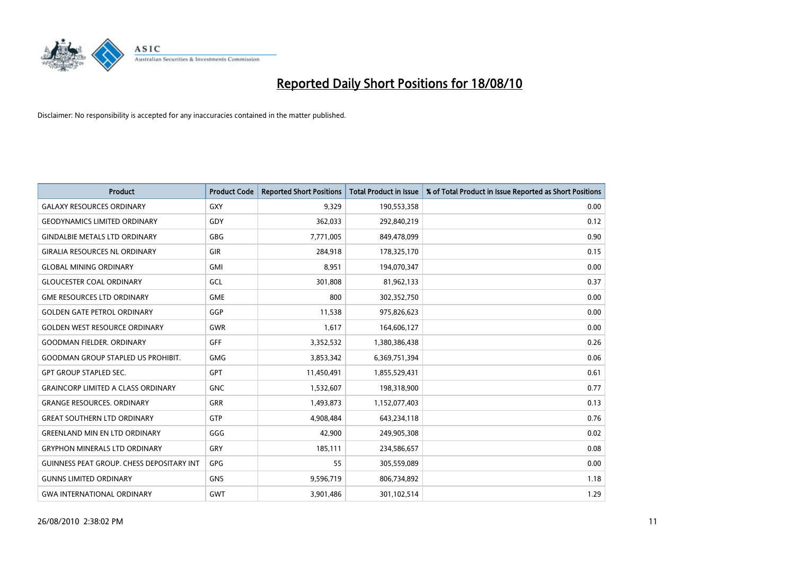

| <b>Product</b>                            | <b>Product Code</b> | <b>Reported Short Positions</b> | Total Product in Issue | % of Total Product in Issue Reported as Short Positions |
|-------------------------------------------|---------------------|---------------------------------|------------------------|---------------------------------------------------------|
| <b>GALAXY RESOURCES ORDINARY</b>          | <b>GXY</b>          | 9,329                           | 190,553,358            | 0.00                                                    |
| <b>GEODYNAMICS LIMITED ORDINARY</b>       | GDY                 | 362,033                         | 292,840,219            | 0.12                                                    |
| <b>GINDALBIE METALS LTD ORDINARY</b>      | <b>GBG</b>          | 7,771,005                       | 849,478,099            | 0.90                                                    |
| <b>GIRALIA RESOURCES NL ORDINARY</b>      | <b>GIR</b>          | 284,918                         | 178,325,170            | 0.15                                                    |
| <b>GLOBAL MINING ORDINARY</b>             | <b>GMI</b>          | 8,951                           | 194,070,347            | 0.00                                                    |
| <b>GLOUCESTER COAL ORDINARY</b>           | <b>GCL</b>          | 301,808                         | 81,962,133             | 0.37                                                    |
| <b>GME RESOURCES LTD ORDINARY</b>         | <b>GME</b>          | 800                             | 302,352,750            | 0.00                                                    |
| <b>GOLDEN GATE PETROL ORDINARY</b>        | GGP                 | 11,538                          | 975,826,623            | 0.00                                                    |
| <b>GOLDEN WEST RESOURCE ORDINARY</b>      | <b>GWR</b>          | 1,617                           | 164,606,127            | 0.00                                                    |
| <b>GOODMAN FIELDER, ORDINARY</b>          | <b>GFF</b>          | 3,352,532                       | 1,380,386,438          | 0.26                                                    |
| <b>GOODMAN GROUP STAPLED US PROHIBIT.</b> | <b>GMG</b>          | 3,853,342                       | 6,369,751,394          | 0.06                                                    |
| <b>GPT GROUP STAPLED SEC.</b>             | <b>GPT</b>          | 11,450,491                      | 1,855,529,431          | 0.61                                                    |
| <b>GRAINCORP LIMITED A CLASS ORDINARY</b> | <b>GNC</b>          | 1,532,607                       | 198,318,900            | 0.77                                                    |
| <b>GRANGE RESOURCES, ORDINARY</b>         | GRR                 | 1,493,873                       | 1,152,077,403          | 0.13                                                    |
| <b>GREAT SOUTHERN LTD ORDINARY</b>        | <b>GTP</b>          | 4,908,484                       | 643,234,118            | 0.76                                                    |
| <b>GREENLAND MIN EN LTD ORDINARY</b>      | GGG                 | 42,900                          | 249,905,308            | 0.02                                                    |
| <b>GRYPHON MINERALS LTD ORDINARY</b>      | GRY                 | 185,111                         | 234,586,657            | 0.08                                                    |
| GUINNESS PEAT GROUP. CHESS DEPOSITARY INT | <b>GPG</b>          | 55                              | 305,559,089            | 0.00                                                    |
| <b>GUNNS LIMITED ORDINARY</b>             | <b>GNS</b>          | 9,596,719                       | 806,734,892            | 1.18                                                    |
| <b>GWA INTERNATIONAL ORDINARY</b>         | <b>GWT</b>          | 3,901,486                       | 301,102,514            | 1.29                                                    |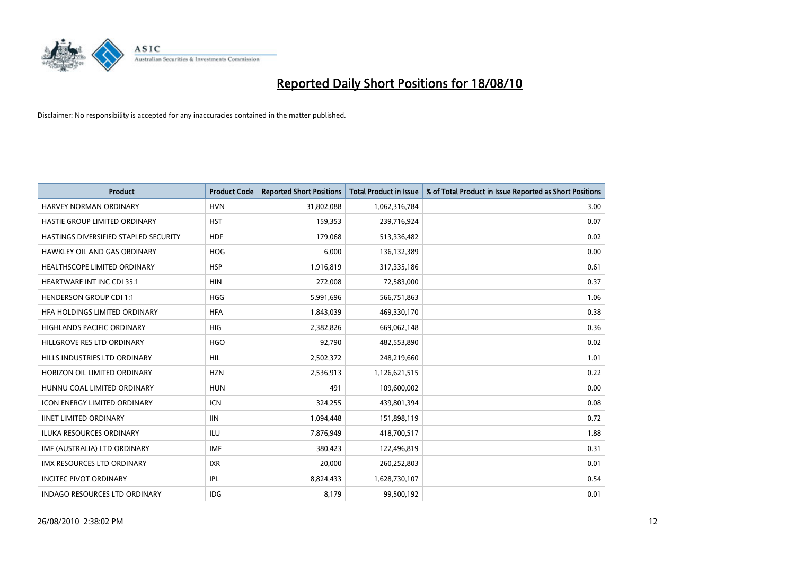

| <b>Product</b>                        | <b>Product Code</b> | <b>Reported Short Positions</b> | <b>Total Product in Issue</b> | % of Total Product in Issue Reported as Short Positions |
|---------------------------------------|---------------------|---------------------------------|-------------------------------|---------------------------------------------------------|
| <b>HARVEY NORMAN ORDINARY</b>         | <b>HVN</b>          | 31,802,088                      | 1,062,316,784                 | 3.00                                                    |
| HASTIE GROUP LIMITED ORDINARY         | <b>HST</b>          | 159,353                         | 239,716,924                   | 0.07                                                    |
| HASTINGS DIVERSIFIED STAPLED SECURITY | <b>HDF</b>          | 179,068                         | 513,336,482                   | 0.02                                                    |
| <b>HAWKLEY OIL AND GAS ORDINARY</b>   | <b>HOG</b>          | 6,000                           | 136,132,389                   | 0.00                                                    |
| <b>HEALTHSCOPE LIMITED ORDINARY</b>   | <b>HSP</b>          | 1,916,819                       | 317,335,186                   | 0.61                                                    |
| <b>HEARTWARE INT INC CDI 35:1</b>     | <b>HIN</b>          | 272,008                         | 72,583,000                    | 0.37                                                    |
| <b>HENDERSON GROUP CDI 1:1</b>        | <b>HGG</b>          | 5,991,696                       | 566,751,863                   | 1.06                                                    |
| HFA HOLDINGS LIMITED ORDINARY         | <b>HFA</b>          | 1,843,039                       | 469,330,170                   | 0.38                                                    |
| <b>HIGHLANDS PACIFIC ORDINARY</b>     | <b>HIG</b>          | 2,382,826                       | 669,062,148                   | 0.36                                                    |
| HILLGROVE RES LTD ORDINARY            | <b>HGO</b>          | 92,790                          | 482,553,890                   | 0.02                                                    |
| HILLS INDUSTRIES LTD ORDINARY         | HIL                 | 2,502,372                       | 248,219,660                   | 1.01                                                    |
| HORIZON OIL LIMITED ORDINARY          | <b>HZN</b>          | 2,536,913                       | 1,126,621,515                 | 0.22                                                    |
| HUNNU COAL LIMITED ORDINARY           | <b>HUN</b>          | 491                             | 109,600,002                   | 0.00                                                    |
| <b>ICON ENERGY LIMITED ORDINARY</b>   | <b>ICN</b>          | 324,255                         | 439,801,394                   | 0.08                                                    |
| <b>IINET LIMITED ORDINARY</b>         | <b>IIN</b>          | 1,094,448                       | 151,898,119                   | 0.72                                                    |
| ILUKA RESOURCES ORDINARY              | <b>ILU</b>          | 7,876,949                       | 418,700,517                   | 1.88                                                    |
| IMF (AUSTRALIA) LTD ORDINARY          | <b>IMF</b>          | 380,423                         | 122,496,819                   | 0.31                                                    |
| IMX RESOURCES LTD ORDINARY            | <b>IXR</b>          | 20,000                          | 260,252,803                   | 0.01                                                    |
| <b>INCITEC PIVOT ORDINARY</b>         | <b>IPL</b>          | 8,824,433                       | 1,628,730,107                 | 0.54                                                    |
| INDAGO RESOURCES LTD ORDINARY         | <b>IDG</b>          | 8,179                           | 99,500,192                    | 0.01                                                    |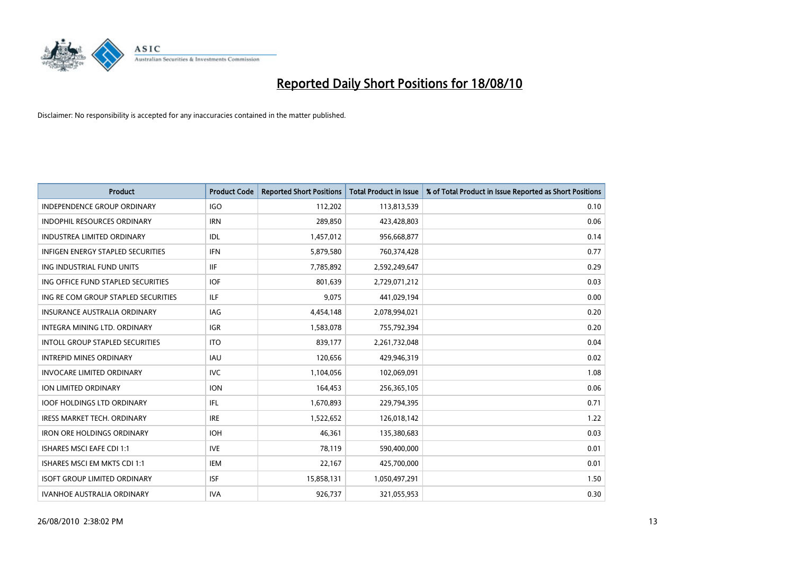

| <b>Product</b>                           | <b>Product Code</b> | <b>Reported Short Positions</b> | Total Product in Issue | % of Total Product in Issue Reported as Short Positions |
|------------------------------------------|---------------------|---------------------------------|------------------------|---------------------------------------------------------|
| <b>INDEPENDENCE GROUP ORDINARY</b>       | <b>IGO</b>          | 112,202                         | 113,813,539            | 0.10                                                    |
| <b>INDOPHIL RESOURCES ORDINARY</b>       | <b>IRN</b>          | 289.850                         | 423,428,803            | 0.06                                                    |
| <b>INDUSTREA LIMITED ORDINARY</b>        | IDL                 | 1,457,012                       | 956,668,877            | 0.14                                                    |
| <b>INFIGEN ENERGY STAPLED SECURITIES</b> | <b>IFN</b>          | 5,879,580                       | 760,374,428            | 0.77                                                    |
| ING INDUSTRIAL FUND UNITS                | <b>IIF</b>          | 7,785,892                       | 2,592,249,647          | 0.29                                                    |
| ING OFFICE FUND STAPLED SECURITIES       | <b>IOF</b>          | 801,639                         | 2,729,071,212          | 0.03                                                    |
| ING RE COM GROUP STAPLED SECURITIES      | <b>ILF</b>          | 9.075                           | 441,029,194            | 0.00                                                    |
| <b>INSURANCE AUSTRALIA ORDINARY</b>      | <b>IAG</b>          | 4,454,148                       | 2,078,994,021          | 0.20                                                    |
| INTEGRA MINING LTD. ORDINARY             | <b>IGR</b>          | 1,583,078                       | 755,792,394            | 0.20                                                    |
| <b>INTOLL GROUP STAPLED SECURITIES</b>   | <b>ITO</b>          | 839.177                         | 2,261,732,048          | 0.04                                                    |
| <b>INTREPID MINES ORDINARY</b>           | <b>IAU</b>          | 120,656                         | 429,946,319            | 0.02                                                    |
| <b>INVOCARE LIMITED ORDINARY</b>         | <b>IVC</b>          | 1,104,056                       | 102,069,091            | 1.08                                                    |
| <b>ION LIMITED ORDINARY</b>              | <b>ION</b>          | 164,453                         | 256,365,105            | 0.06                                                    |
| <b>IOOF HOLDINGS LTD ORDINARY</b>        | <b>IFL</b>          | 1,670,893                       | 229,794,395            | 0.71                                                    |
| IRESS MARKET TECH. ORDINARY              | <b>IRE</b>          | 1,522,652                       | 126,018,142            | 1.22                                                    |
| <b>IRON ORE HOLDINGS ORDINARY</b>        | <b>IOH</b>          | 46.361                          | 135,380,683            | 0.03                                                    |
| <b>ISHARES MSCI EAFE CDI 1:1</b>         | <b>IVE</b>          | 78,119                          | 590,400,000            | 0.01                                                    |
| ISHARES MSCI EM MKTS CDI 1:1             | <b>IEM</b>          | 22,167                          | 425,700,000            | 0.01                                                    |
| <b>ISOFT GROUP LIMITED ORDINARY</b>      | <b>ISF</b>          | 15,858,131                      | 1,050,497,291          | 1.50                                                    |
| <b>IVANHOE AUSTRALIA ORDINARY</b>        | <b>IVA</b>          | 926.737                         | 321,055,953            | 0.30                                                    |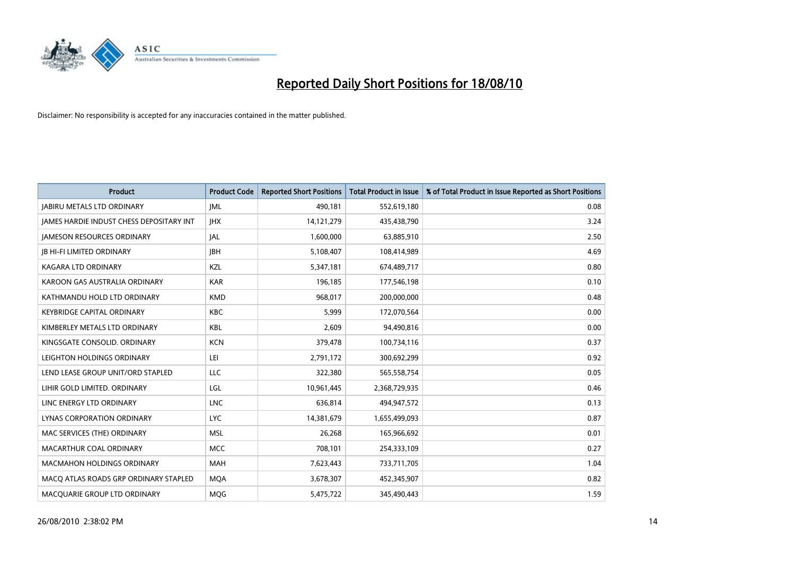

| <b>Product</b>                                  | <b>Product Code</b> | <b>Reported Short Positions</b> | Total Product in Issue | % of Total Product in Issue Reported as Short Positions |
|-------------------------------------------------|---------------------|---------------------------------|------------------------|---------------------------------------------------------|
| <b>JABIRU METALS LTD ORDINARY</b>               | <b>JML</b>          | 490,181                         | 552,619,180            | 0.08                                                    |
| <b>JAMES HARDIE INDUST CHESS DEPOSITARY INT</b> | <b>IHX</b>          | 14, 121, 279                    | 435,438,790            | 3.24                                                    |
| <b>JAMESON RESOURCES ORDINARY</b>               | JAL                 | 1,600,000                       | 63,885,910             | 2.50                                                    |
| <b>JB HI-FI LIMITED ORDINARY</b>                | <b>IBH</b>          | 5,108,407                       | 108,414,989            | 4.69                                                    |
| <b>KAGARA LTD ORDINARY</b>                      | KZL                 | 5,347,181                       | 674,489,717            | 0.80                                                    |
| KAROON GAS AUSTRALIA ORDINARY                   | <b>KAR</b>          | 196,185                         | 177,546,198            | 0.10                                                    |
| KATHMANDU HOLD LTD ORDINARY                     | <b>KMD</b>          | 968,017                         | 200,000,000            | 0.48                                                    |
| <b>KEYBRIDGE CAPITAL ORDINARY</b>               | <b>KBC</b>          | 5,999                           | 172,070,564            | 0.00                                                    |
| KIMBERLEY METALS LTD ORDINARY                   | <b>KBL</b>          | 2,609                           | 94,490,816             | 0.00                                                    |
| KINGSGATE CONSOLID, ORDINARY                    | <b>KCN</b>          | 379,478                         | 100,734,116            | 0.37                                                    |
| LEIGHTON HOLDINGS ORDINARY                      | LEI                 | 2,791,172                       | 300,692,299            | 0.92                                                    |
| LEND LEASE GROUP UNIT/ORD STAPLED               | LLC                 | 322,380                         | 565,558,754            | 0.05                                                    |
| LIHIR GOLD LIMITED. ORDINARY                    | LGL                 | 10,961,445                      | 2,368,729,935          | 0.46                                                    |
| LINC ENERGY LTD ORDINARY                        | <b>LNC</b>          | 636.814                         | 494,947,572            | 0.13                                                    |
| LYNAS CORPORATION ORDINARY                      | <b>LYC</b>          | 14,381,679                      | 1,655,499,093          | 0.87                                                    |
| MAC SERVICES (THE) ORDINARY                     | <b>MSL</b>          | 26.268                          | 165,966,692            | 0.01                                                    |
| MACARTHUR COAL ORDINARY                         | <b>MCC</b>          | 708,101                         | 254,333,109            | 0.27                                                    |
| <b>MACMAHON HOLDINGS ORDINARY</b>               | <b>MAH</b>          | 7,623,443                       | 733,711,705            | 1.04                                                    |
| MACO ATLAS ROADS GRP ORDINARY STAPLED           | <b>MOA</b>          | 3,678,307                       | 452,345,907            | 0.82                                                    |
| MACQUARIE GROUP LTD ORDINARY                    | <b>MOG</b>          | 5,475,722                       | 345,490,443            | 1.59                                                    |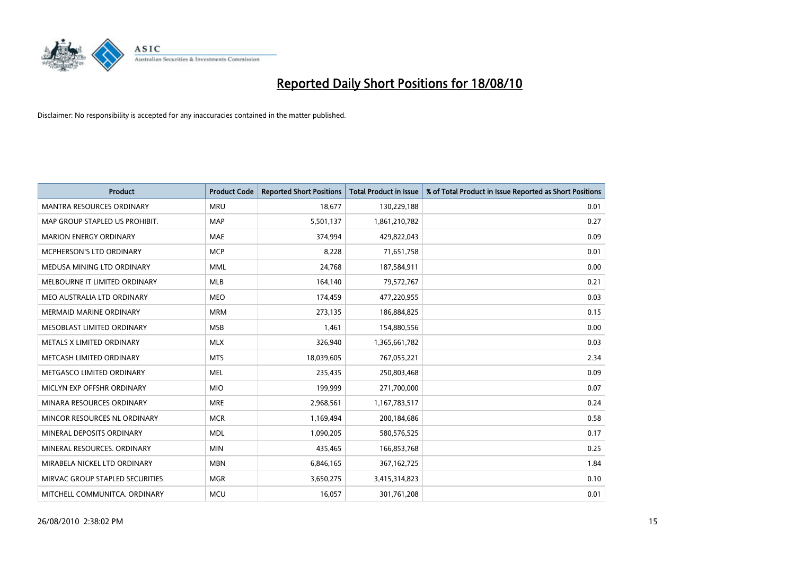

| <b>Product</b>                   | <b>Product Code</b> | <b>Reported Short Positions</b> | <b>Total Product in Issue</b> | % of Total Product in Issue Reported as Short Positions |
|----------------------------------|---------------------|---------------------------------|-------------------------------|---------------------------------------------------------|
| <b>MANTRA RESOURCES ORDINARY</b> | <b>MRU</b>          | 18.677                          | 130,229,188                   | 0.01                                                    |
| MAP GROUP STAPLED US PROHIBIT.   | <b>MAP</b>          | 5,501,137                       | 1,861,210,782                 | 0.27                                                    |
| <b>MARION ENERGY ORDINARY</b>    | <b>MAE</b>          | 374.994                         | 429,822,043                   | 0.09                                                    |
| MCPHERSON'S LTD ORDINARY         | <b>MCP</b>          | 8,228                           | 71,651,758                    | 0.01                                                    |
| MEDUSA MINING LTD ORDINARY       | <b>MML</b>          | 24,768                          | 187,584,911                   | 0.00                                                    |
| MELBOURNE IT LIMITED ORDINARY    | <b>MLB</b>          | 164,140                         | 79,572,767                    | 0.21                                                    |
| MEO AUSTRALIA LTD ORDINARY       | <b>MEO</b>          | 174,459                         | 477,220,955                   | 0.03                                                    |
| <b>MERMAID MARINE ORDINARY</b>   | <b>MRM</b>          | 273,135                         | 186,884,825                   | 0.15                                                    |
| MESOBLAST LIMITED ORDINARY       | <b>MSB</b>          | 1.461                           | 154,880,556                   | 0.00                                                    |
| METALS X LIMITED ORDINARY        | <b>MLX</b>          | 326,940                         | 1,365,661,782                 | 0.03                                                    |
| METCASH LIMITED ORDINARY         | <b>MTS</b>          | 18,039,605                      | 767,055,221                   | 2.34                                                    |
| METGASCO LIMITED ORDINARY        | <b>MEL</b>          | 235,435                         | 250,803,468                   | 0.09                                                    |
| MICLYN EXP OFFSHR ORDINARY       | <b>MIO</b>          | 199,999                         | 271,700,000                   | 0.07                                                    |
| MINARA RESOURCES ORDINARY        | <b>MRE</b>          | 2,968,561                       | 1,167,783,517                 | 0.24                                                    |
| MINCOR RESOURCES NL ORDINARY     | <b>MCR</b>          | 1,169,494                       | 200,184,686                   | 0.58                                                    |
| MINERAL DEPOSITS ORDINARY        | <b>MDL</b>          | 1,090,205                       | 580,576,525                   | 0.17                                                    |
| MINERAL RESOURCES. ORDINARY      | <b>MIN</b>          | 435,465                         | 166,853,768                   | 0.25                                                    |
| MIRABELA NICKEL LTD ORDINARY     | <b>MBN</b>          | 6,846,165                       | 367, 162, 725                 | 1.84                                                    |
| MIRVAC GROUP STAPLED SECURITIES  | <b>MGR</b>          | 3,650,275                       | 3,415,314,823                 | 0.10                                                    |
| MITCHELL COMMUNITCA. ORDINARY    | <b>MCU</b>          | 16,057                          | 301,761,208                   | 0.01                                                    |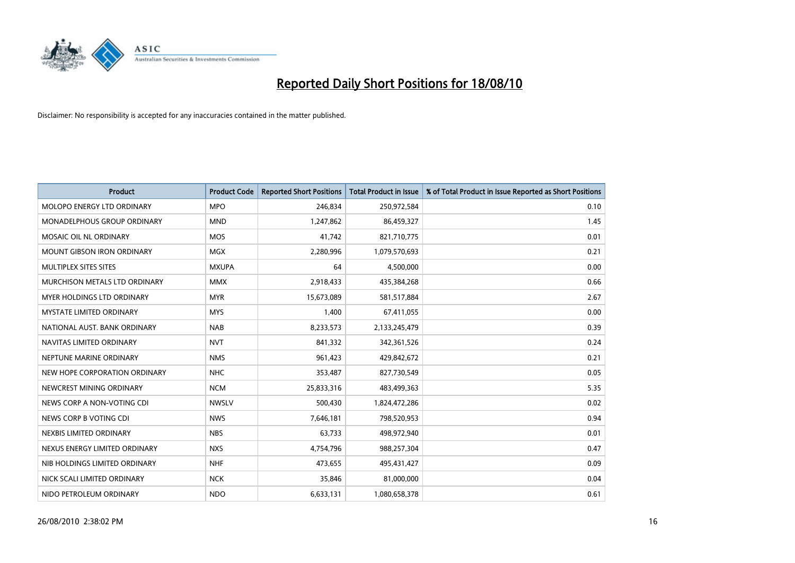

| <b>Product</b>                     | <b>Product Code</b> | <b>Reported Short Positions</b> | <b>Total Product in Issue</b> | % of Total Product in Issue Reported as Short Positions |
|------------------------------------|---------------------|---------------------------------|-------------------------------|---------------------------------------------------------|
| MOLOPO ENERGY LTD ORDINARY         | <b>MPO</b>          | 246.834                         | 250,972,584                   | 0.10                                                    |
| <b>MONADELPHOUS GROUP ORDINARY</b> | <b>MND</b>          | 1,247,862                       | 86,459,327                    | 1.45                                                    |
| MOSAIC OIL NL ORDINARY             | <b>MOS</b>          | 41,742                          | 821,710,775                   | 0.01                                                    |
| <b>MOUNT GIBSON IRON ORDINARY</b>  | <b>MGX</b>          | 2,280,996                       | 1,079,570,693                 | 0.21                                                    |
| MULTIPLEX SITES SITES              | <b>MXUPA</b>        | 64                              | 4,500,000                     | 0.00                                                    |
| MURCHISON METALS LTD ORDINARY      | <b>MMX</b>          | 2,918,433                       | 435,384,268                   | 0.66                                                    |
| MYER HOLDINGS LTD ORDINARY         | <b>MYR</b>          | 15,673,089                      | 581,517,884                   | 2.67                                                    |
| <b>MYSTATE LIMITED ORDINARY</b>    | <b>MYS</b>          | 1,400                           | 67,411,055                    | 0.00                                                    |
| NATIONAL AUST, BANK ORDINARY       | <b>NAB</b>          | 8,233,573                       | 2,133,245,479                 | 0.39                                                    |
| NAVITAS LIMITED ORDINARY           | <b>NVT</b>          | 841,332                         | 342,361,526                   | 0.24                                                    |
| NEPTUNE MARINE ORDINARY            | <b>NMS</b>          | 961,423                         | 429,842,672                   | 0.21                                                    |
| NEW HOPE CORPORATION ORDINARY      | <b>NHC</b>          | 353,487                         | 827,730,549                   | 0.05                                                    |
| NEWCREST MINING ORDINARY           | <b>NCM</b>          | 25,833,316                      | 483,499,363                   | 5.35                                                    |
| NEWS CORP A NON-VOTING CDI         | <b>NWSLV</b>        | 500,430                         | 1,824,472,286                 | 0.02                                                    |
| NEWS CORP B VOTING CDI             | <b>NWS</b>          | 7,646,181                       | 798,520,953                   | 0.94                                                    |
| NEXBIS LIMITED ORDINARY            | <b>NBS</b>          | 63,733                          | 498,972,940                   | 0.01                                                    |
| NEXUS ENERGY LIMITED ORDINARY      | <b>NXS</b>          | 4,754,796                       | 988,257,304                   | 0.47                                                    |
| NIB HOLDINGS LIMITED ORDINARY      | <b>NHF</b>          | 473,655                         | 495,431,427                   | 0.09                                                    |
| NICK SCALI LIMITED ORDINARY        | <b>NCK</b>          | 35,846                          | 81,000,000                    | 0.04                                                    |
| NIDO PETROLEUM ORDINARY            | <b>NDO</b>          | 6,633,131                       | 1,080,658,378                 | 0.61                                                    |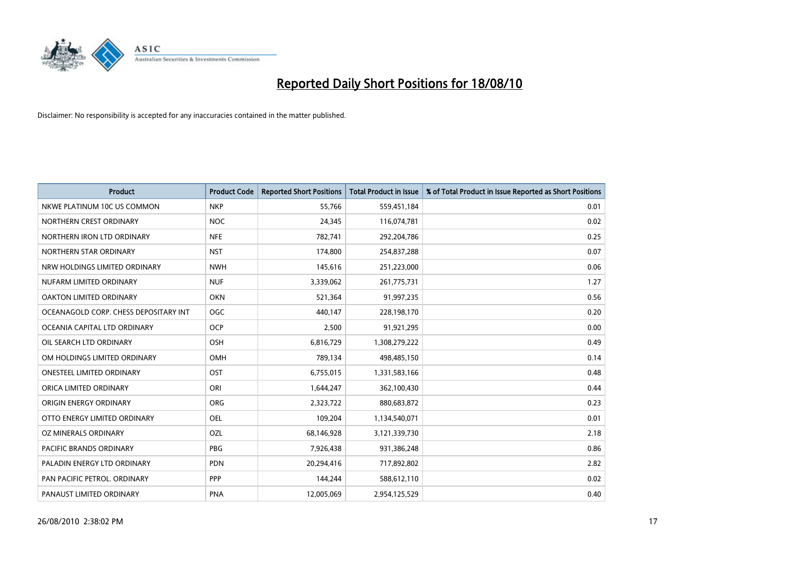

| <b>Product</b>                        | <b>Product Code</b> | <b>Reported Short Positions</b> | <b>Total Product in Issue</b> | % of Total Product in Issue Reported as Short Positions |
|---------------------------------------|---------------------|---------------------------------|-------------------------------|---------------------------------------------------------|
| NKWE PLATINUM 10C US COMMON           | <b>NKP</b>          | 55,766                          | 559,451,184                   | 0.01                                                    |
| NORTHERN CREST ORDINARY               | <b>NOC</b>          | 24,345                          | 116,074,781                   | 0.02                                                    |
| NORTHERN IRON LTD ORDINARY            | <b>NFE</b>          | 782,741                         | 292,204,786                   | 0.25                                                    |
| NORTHERN STAR ORDINARY                | <b>NST</b>          | 174,800                         | 254,837,288                   | 0.07                                                    |
| NRW HOLDINGS LIMITED ORDINARY         | <b>NWH</b>          | 145,616                         | 251,223,000                   | 0.06                                                    |
| NUFARM LIMITED ORDINARY               | <b>NUF</b>          | 3,339,062                       | 261,775,731                   | 1.27                                                    |
| OAKTON LIMITED ORDINARY               | <b>OKN</b>          | 521,364                         | 91,997,235                    | 0.56                                                    |
| OCEANAGOLD CORP. CHESS DEPOSITARY INT | <b>OGC</b>          | 440,147                         | 228,198,170                   | 0.20                                                    |
| OCEANIA CAPITAL LTD ORDINARY          | <b>OCP</b>          | 2,500                           | 91,921,295                    | 0.00                                                    |
| OIL SEARCH LTD ORDINARY               | <b>OSH</b>          | 6,816,729                       | 1,308,279,222                 | 0.49                                                    |
| OM HOLDINGS LIMITED ORDINARY          | <b>OMH</b>          | 789,134                         | 498,485,150                   | 0.14                                                    |
| <b>ONESTEEL LIMITED ORDINARY</b>      | OST                 | 6,755,015                       | 1,331,583,166                 | 0.48                                                    |
| ORICA LIMITED ORDINARY                | ORI                 | 1,644,247                       | 362,100,430                   | 0.44                                                    |
| ORIGIN ENERGY ORDINARY                | ORG                 | 2,323,722                       | 880,683,872                   | 0.23                                                    |
| OTTO ENERGY LIMITED ORDINARY          | <b>OEL</b>          | 109,204                         | 1,134,540,071                 | 0.01                                                    |
| OZ MINERALS ORDINARY                  | OZL                 | 68,146,928                      | 3,121,339,730                 | 2.18                                                    |
| PACIFIC BRANDS ORDINARY               | PBG                 | 7,926,438                       | 931,386,248                   | 0.86                                                    |
| PALADIN ENERGY LTD ORDINARY           | <b>PDN</b>          | 20,294,416                      | 717,892,802                   | 2.82                                                    |
| PAN PACIFIC PETROL. ORDINARY          | PPP                 | 144,244                         | 588,612,110                   | 0.02                                                    |
| PANAUST LIMITED ORDINARY              | <b>PNA</b>          | 12,005,069                      | 2,954,125,529                 | 0.40                                                    |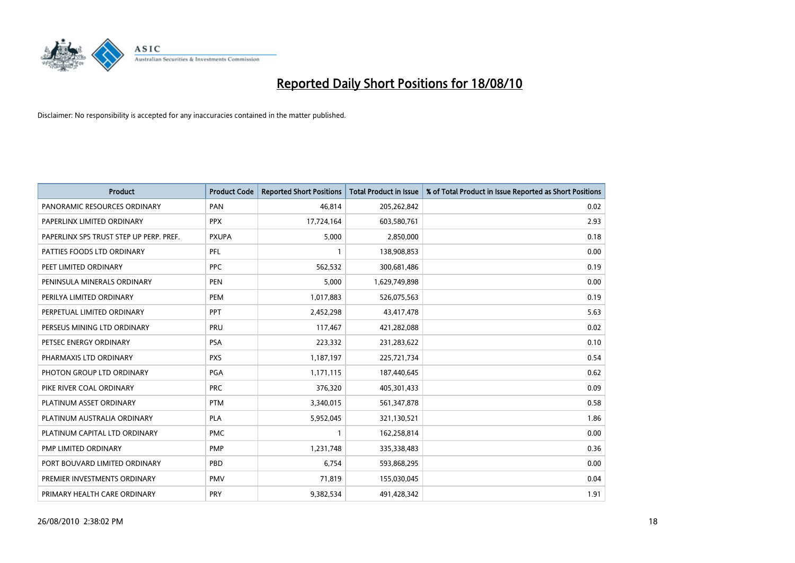

| <b>Product</b>                          | <b>Product Code</b> | <b>Reported Short Positions</b> | <b>Total Product in Issue</b> | % of Total Product in Issue Reported as Short Positions |
|-----------------------------------------|---------------------|---------------------------------|-------------------------------|---------------------------------------------------------|
| PANORAMIC RESOURCES ORDINARY            | PAN                 | 46,814                          | 205,262,842                   | 0.02                                                    |
| PAPERLINX LIMITED ORDINARY              | <b>PPX</b>          | 17,724,164                      | 603,580,761                   | 2.93                                                    |
| PAPERLINX SPS TRUST STEP UP PERP. PREF. | <b>PXUPA</b>        | 5,000                           | 2,850,000                     | 0.18                                                    |
| PATTIES FOODS LTD ORDINARY              | PFL                 |                                 | 138,908,853                   | 0.00                                                    |
| PEET LIMITED ORDINARY                   | <b>PPC</b>          | 562,532                         | 300,681,486                   | 0.19                                                    |
| PENINSULA MINERALS ORDINARY             | <b>PEN</b>          | 5,000                           | 1,629,749,898                 | 0.00                                                    |
| PERILYA LIMITED ORDINARY                | <b>PEM</b>          | 1,017,883                       | 526,075,563                   | 0.19                                                    |
| PERPETUAL LIMITED ORDINARY              | PPT                 | 2,452,298                       | 43,417,478                    | 5.63                                                    |
| PERSEUS MINING LTD ORDINARY             | PRU                 | 117,467                         | 421,282,088                   | 0.02                                                    |
| PETSEC ENERGY ORDINARY                  | <b>PSA</b>          | 223,332                         | 231,283,622                   | 0.10                                                    |
| PHARMAXIS LTD ORDINARY                  | <b>PXS</b>          | 1,187,197                       | 225,721,734                   | 0.54                                                    |
| PHOTON GROUP LTD ORDINARY               | <b>PGA</b>          | 1,171,115                       | 187,440,645                   | 0.62                                                    |
| PIKE RIVER COAL ORDINARY                | <b>PRC</b>          | 376,320                         | 405,301,433                   | 0.09                                                    |
| PLATINUM ASSET ORDINARY                 | <b>PTM</b>          | 3,340,015                       | 561,347,878                   | 0.58                                                    |
| PLATINUM AUSTRALIA ORDINARY             | <b>PLA</b>          | 5,952,045                       | 321,130,521                   | 1.86                                                    |
| PLATINUM CAPITAL LTD ORDINARY           | <b>PMC</b>          |                                 | 162,258,814                   | 0.00                                                    |
| PMP LIMITED ORDINARY                    | <b>PMP</b>          | 1,231,748                       | 335,338,483                   | 0.36                                                    |
| PORT BOUVARD LIMITED ORDINARY           | PBD                 | 6.754                           | 593,868,295                   | 0.00                                                    |
| PREMIER INVESTMENTS ORDINARY            | <b>PMV</b>          | 71,819                          | 155,030,045                   | 0.04                                                    |
| PRIMARY HEALTH CARE ORDINARY            | <b>PRY</b>          | 9,382,534                       | 491,428,342                   | 1.91                                                    |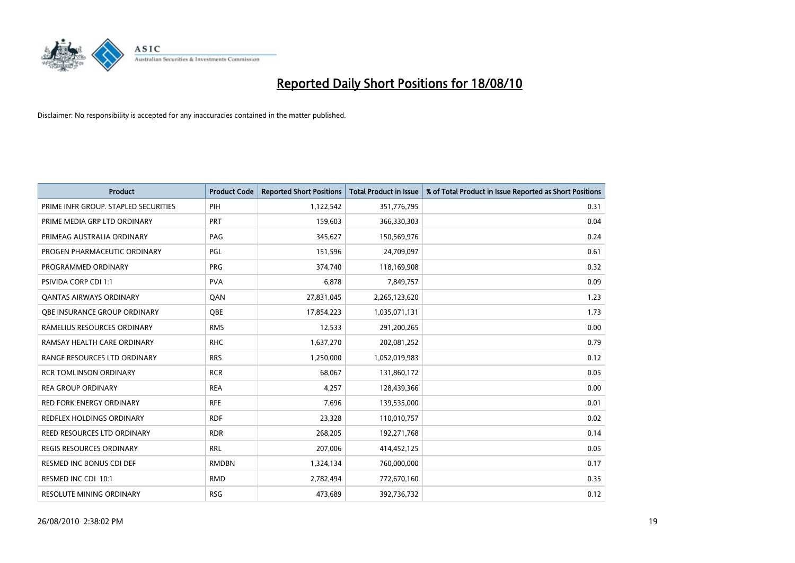

| <b>Product</b>                       | <b>Product Code</b> | <b>Reported Short Positions</b> | <b>Total Product in Issue</b> | % of Total Product in Issue Reported as Short Positions |
|--------------------------------------|---------------------|---------------------------------|-------------------------------|---------------------------------------------------------|
| PRIME INFR GROUP. STAPLED SECURITIES | PIH                 | 1,122,542                       | 351,776,795                   | 0.31                                                    |
| PRIME MEDIA GRP LTD ORDINARY         | <b>PRT</b>          | 159,603                         | 366,330,303                   | 0.04                                                    |
| PRIMEAG AUSTRALIA ORDINARY           | PAG                 | 345,627                         | 150,569,976                   | 0.24                                                    |
| PROGEN PHARMACEUTIC ORDINARY         | <b>PGL</b>          | 151,596                         | 24,709,097                    | 0.61                                                    |
| PROGRAMMED ORDINARY                  | <b>PRG</b>          | 374,740                         | 118,169,908                   | 0.32                                                    |
| <b>PSIVIDA CORP CDI 1:1</b>          | <b>PVA</b>          | 6,878                           | 7,849,757                     | 0.09                                                    |
| <b>QANTAS AIRWAYS ORDINARY</b>       | QAN                 | 27,831,045                      | 2,265,123,620                 | 1.23                                                    |
| OBE INSURANCE GROUP ORDINARY         | <b>OBE</b>          | 17,854,223                      | 1,035,071,131                 | 1.73                                                    |
| RAMELIUS RESOURCES ORDINARY          | <b>RMS</b>          | 12,533                          | 291,200,265                   | 0.00                                                    |
| RAMSAY HEALTH CARE ORDINARY          | <b>RHC</b>          | 1,637,270                       | 202,081,252                   | 0.79                                                    |
| RANGE RESOURCES LTD ORDINARY         | <b>RRS</b>          | 1,250,000                       | 1,052,019,983                 | 0.12                                                    |
| <b>RCR TOMLINSON ORDINARY</b>        | <b>RCR</b>          | 68.067                          | 131,860,172                   | 0.05                                                    |
| <b>REA GROUP ORDINARY</b>            | <b>REA</b>          | 4,257                           | 128,439,366                   | 0.00                                                    |
| <b>RED FORK ENERGY ORDINARY</b>      | <b>RFE</b>          | 7,696                           | 139,535,000                   | 0.01                                                    |
| <b>REDFLEX HOLDINGS ORDINARY</b>     | <b>RDF</b>          | 23,328                          | 110,010,757                   | 0.02                                                    |
| REED RESOURCES LTD ORDINARY          | <b>RDR</b>          | 268,205                         | 192,271,768                   | 0.14                                                    |
| <b>REGIS RESOURCES ORDINARY</b>      | <b>RRL</b>          | 207,006                         | 414,452,125                   | 0.05                                                    |
| RESMED INC BONUS CDI DEF             | <b>RMDBN</b>        | 1,324,134                       | 760,000,000                   | 0.17                                                    |
| RESMED INC CDI 10:1                  | <b>RMD</b>          | 2,782,494                       | 772,670,160                   | 0.35                                                    |
| RESOLUTE MINING ORDINARY             | <b>RSG</b>          | 473,689                         | 392,736,732                   | 0.12                                                    |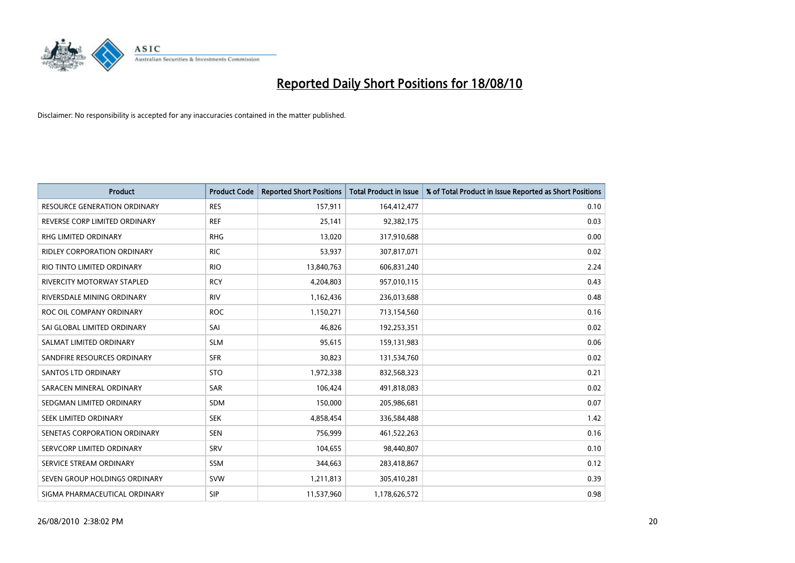

| <b>Product</b>                      | <b>Product Code</b> | <b>Reported Short Positions</b> | <b>Total Product in Issue</b> | % of Total Product in Issue Reported as Short Positions |
|-------------------------------------|---------------------|---------------------------------|-------------------------------|---------------------------------------------------------|
| <b>RESOURCE GENERATION ORDINARY</b> | <b>RES</b>          | 157,911                         | 164,412,477                   | 0.10                                                    |
| REVERSE CORP LIMITED ORDINARY       | <b>REF</b>          | 25,141                          | 92,382,175                    | 0.03                                                    |
| <b>RHG LIMITED ORDINARY</b>         | <b>RHG</b>          | 13,020                          | 317,910,688                   | 0.00                                                    |
| <b>RIDLEY CORPORATION ORDINARY</b>  | <b>RIC</b>          | 53,937                          | 307,817,071                   | 0.02                                                    |
| RIO TINTO LIMITED ORDINARY          | <b>RIO</b>          | 13,840,763                      | 606,831,240                   | 2.24                                                    |
| <b>RIVERCITY MOTORWAY STAPLED</b>   | <b>RCY</b>          | 4,204,803                       | 957,010,115                   | 0.43                                                    |
| RIVERSDALE MINING ORDINARY          | <b>RIV</b>          | 1,162,436                       | 236,013,688                   | 0.48                                                    |
| ROC OIL COMPANY ORDINARY            | <b>ROC</b>          | 1,150,271                       | 713,154,560                   | 0.16                                                    |
| SAI GLOBAL LIMITED ORDINARY         | SAI                 | 46,826                          | 192,253,351                   | 0.02                                                    |
| SALMAT LIMITED ORDINARY             | <b>SLM</b>          | 95,615                          | 159,131,983                   | 0.06                                                    |
| SANDFIRE RESOURCES ORDINARY         | <b>SFR</b>          | 30,823                          | 131,534,760                   | 0.02                                                    |
| <b>SANTOS LTD ORDINARY</b>          | <b>STO</b>          | 1,972,338                       | 832,568,323                   | 0.21                                                    |
| SARACEN MINERAL ORDINARY            | <b>SAR</b>          | 106,424                         | 491,818,083                   | 0.02                                                    |
| SEDGMAN LIMITED ORDINARY            | <b>SDM</b>          | 150,000                         | 205,986,681                   | 0.07                                                    |
| SEEK LIMITED ORDINARY               | <b>SEK</b>          | 4,858,454                       | 336,584,488                   | 1.42                                                    |
| SENETAS CORPORATION ORDINARY        | <b>SEN</b>          | 756,999                         | 461,522,263                   | 0.16                                                    |
| SERVCORP LIMITED ORDINARY           | SRV                 | 104,655                         | 98,440,807                    | 0.10                                                    |
| SERVICE STREAM ORDINARY             | <b>SSM</b>          | 344,663                         | 283,418,867                   | 0.12                                                    |
| SEVEN GROUP HOLDINGS ORDINARY       | <b>SVW</b>          | 1,211,813                       | 305,410,281                   | 0.39                                                    |
| SIGMA PHARMACEUTICAL ORDINARY       | SIP                 | 11,537,960                      | 1,178,626,572                 | 0.98                                                    |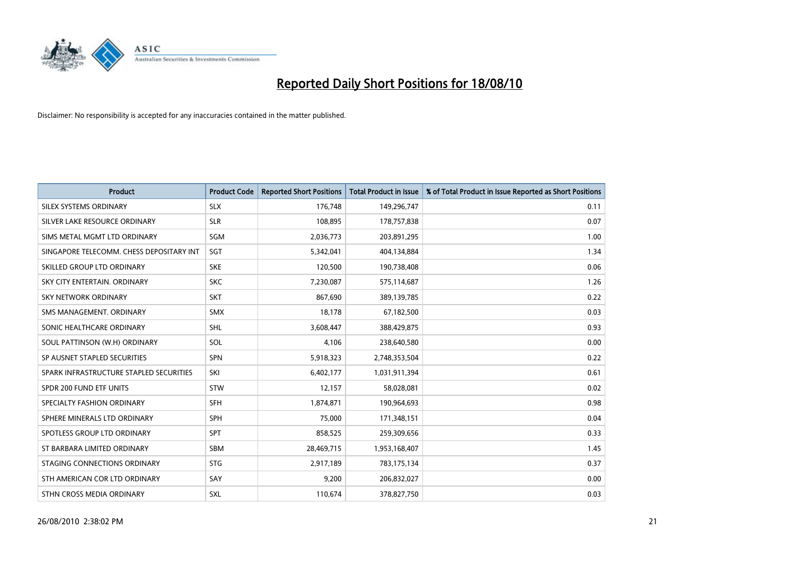

| <b>Product</b>                           | <b>Product Code</b> | <b>Reported Short Positions</b> | <b>Total Product in Issue</b> | % of Total Product in Issue Reported as Short Positions |
|------------------------------------------|---------------------|---------------------------------|-------------------------------|---------------------------------------------------------|
| SILEX SYSTEMS ORDINARY                   | <b>SLX</b>          | 176,748                         | 149,296,747                   | 0.11                                                    |
| SILVER LAKE RESOURCE ORDINARY            | <b>SLR</b>          | 108,895                         | 178,757,838                   | 0.07                                                    |
| SIMS METAL MGMT LTD ORDINARY             | <b>SGM</b>          | 2,036,773                       | 203,891,295                   | 1.00                                                    |
| SINGAPORE TELECOMM. CHESS DEPOSITARY INT | <b>SGT</b>          | 5,342,041                       | 404,134,884                   | 1.34                                                    |
| SKILLED GROUP LTD ORDINARY               | <b>SKE</b>          | 120,500                         | 190,738,408                   | 0.06                                                    |
| SKY CITY ENTERTAIN, ORDINARY             | <b>SKC</b>          | 7,230,087                       | 575,114,687                   | 1.26                                                    |
| <b>SKY NETWORK ORDINARY</b>              | <b>SKT</b>          | 867,690                         | 389,139,785                   | 0.22                                                    |
| SMS MANAGEMENT, ORDINARY                 | <b>SMX</b>          | 18,178                          | 67,182,500                    | 0.03                                                    |
| SONIC HEALTHCARE ORDINARY                | <b>SHL</b>          | 3,608,447                       | 388,429,875                   | 0.93                                                    |
| SOUL PATTINSON (W.H) ORDINARY            | SOL                 | 4,106                           | 238,640,580                   | 0.00                                                    |
| SP AUSNET STAPLED SECURITIES             | <b>SPN</b>          | 5,918,323                       | 2,748,353,504                 | 0.22                                                    |
| SPARK INFRASTRUCTURE STAPLED SECURITIES  | SKI                 | 6,402,177                       | 1,031,911,394                 | 0.61                                                    |
| SPDR 200 FUND ETF UNITS                  | <b>STW</b>          | 12,157                          | 58,028,081                    | 0.02                                                    |
| SPECIALTY FASHION ORDINARY               | SFH                 | 1,874,871                       | 190,964,693                   | 0.98                                                    |
| SPHERE MINERALS LTD ORDINARY             | SPH                 | 75.000                          | 171,348,151                   | 0.04                                                    |
| SPOTLESS GROUP LTD ORDINARY              | <b>SPT</b>          | 858,525                         | 259,309,656                   | 0.33                                                    |
| ST BARBARA LIMITED ORDINARY              | SBM                 | 28,469,715                      | 1,953,168,407                 | 1.45                                                    |
| STAGING CONNECTIONS ORDINARY             | <b>STG</b>          | 2,917,189                       | 783,175,134                   | 0.37                                                    |
| STH AMERICAN COR LTD ORDINARY            | SAY                 | 9,200                           | 206,832,027                   | 0.00                                                    |
| STHN CROSS MEDIA ORDINARY                | <b>SXL</b>          | 110,674                         | 378,827,750                   | 0.03                                                    |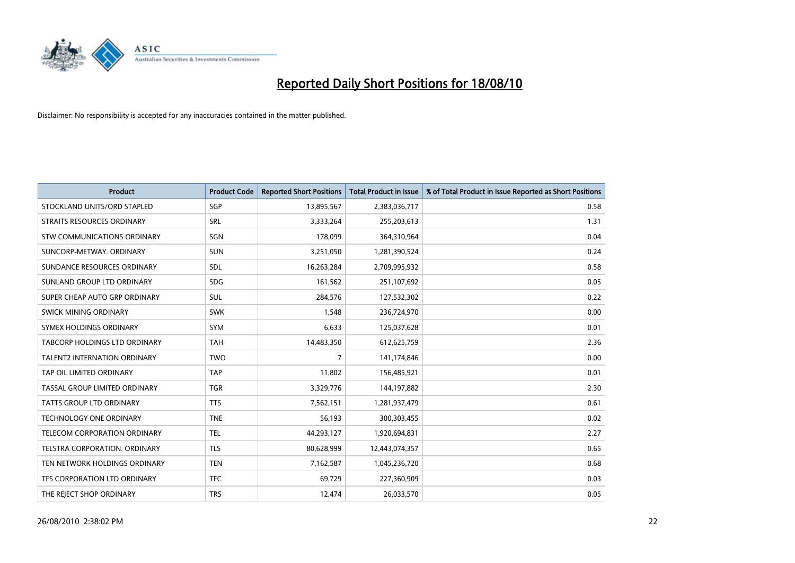

| <b>Product</b>                      | <b>Product Code</b> | <b>Reported Short Positions</b> | <b>Total Product in Issue</b> | % of Total Product in Issue Reported as Short Positions |
|-------------------------------------|---------------------|---------------------------------|-------------------------------|---------------------------------------------------------|
| STOCKLAND UNITS/ORD STAPLED         | SGP                 | 13,895,567                      | 2,383,036,717                 | 0.58                                                    |
| STRAITS RESOURCES ORDINARY          | SRL                 | 3,333,264                       | 255,203,613                   | 1.31                                                    |
| STW COMMUNICATIONS ORDINARY         | SGN                 | 178,099                         | 364,310,964                   | 0.04                                                    |
| SUNCORP-METWAY, ORDINARY            | <b>SUN</b>          | 3,251,050                       | 1,281,390,524                 | 0.24                                                    |
| SUNDANCE RESOURCES ORDINARY         | <b>SDL</b>          | 16,263,284                      | 2,709,995,932                 | 0.58                                                    |
| SUNLAND GROUP LTD ORDINARY          | <b>SDG</b>          | 161,562                         | 251,107,692                   | 0.05                                                    |
| SUPER CHEAP AUTO GRP ORDINARY       | <b>SUL</b>          | 284,576                         | 127,532,302                   | 0.22                                                    |
| SWICK MINING ORDINARY               | <b>SWK</b>          | 1,548                           | 236,724,970                   | 0.00                                                    |
| SYMEX HOLDINGS ORDINARY             | SYM                 | 6,633                           | 125,037,628                   | 0.01                                                    |
| TABCORP HOLDINGS LTD ORDINARY       | <b>TAH</b>          | 14,483,350                      | 612,625,759                   | 2.36                                                    |
| <b>TALENT2 INTERNATION ORDINARY</b> | <b>TWO</b>          | 7                               | 141,174,846                   | 0.00                                                    |
| TAP OIL LIMITED ORDINARY            | <b>TAP</b>          | 11,802                          | 156,485,921                   | 0.01                                                    |
| TASSAL GROUP LIMITED ORDINARY       | <b>TGR</b>          | 3,329,776                       | 144,197,882                   | 2.30                                                    |
| <b>TATTS GROUP LTD ORDINARY</b>     | <b>TTS</b>          | 7,562,151                       | 1,281,937,479                 | 0.61                                                    |
| <b>TECHNOLOGY ONE ORDINARY</b>      | <b>TNE</b>          | 56,193                          | 300,303,455                   | 0.02                                                    |
| TELECOM CORPORATION ORDINARY        | <b>TEL</b>          | 44,293,127                      | 1,920,694,831                 | 2.27                                                    |
| TELSTRA CORPORATION, ORDINARY       | <b>TLS</b>          | 80,628,999                      | 12,443,074,357                | 0.65                                                    |
| TEN NETWORK HOLDINGS ORDINARY       | <b>TEN</b>          | 7,162,587                       | 1,045,236,720                 | 0.68                                                    |
| TFS CORPORATION LTD ORDINARY        | <b>TFC</b>          | 69,729                          | 227,360,909                   | 0.03                                                    |
| THE REJECT SHOP ORDINARY            | <b>TRS</b>          | 12,474                          | 26,033,570                    | 0.05                                                    |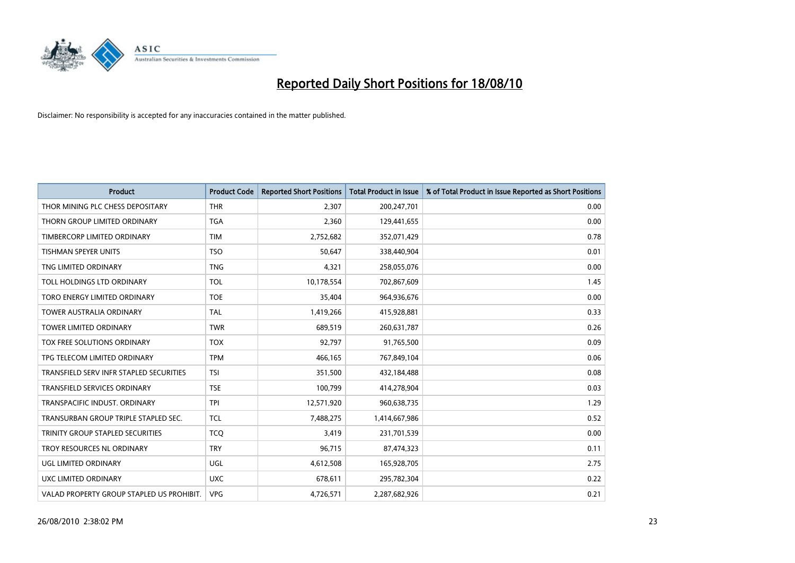

| <b>Product</b>                            | <b>Product Code</b> | <b>Reported Short Positions</b> | Total Product in Issue | % of Total Product in Issue Reported as Short Positions |
|-------------------------------------------|---------------------|---------------------------------|------------------------|---------------------------------------------------------|
| THOR MINING PLC CHESS DEPOSITARY          | <b>THR</b>          | 2,307                           | 200,247,701            | 0.00                                                    |
| THORN GROUP LIMITED ORDINARY              | <b>TGA</b>          | 2,360                           | 129,441,655            | 0.00                                                    |
| TIMBERCORP LIMITED ORDINARY               | <b>TIM</b>          | 2,752,682                       | 352,071,429            | 0.78                                                    |
| TISHMAN SPEYER UNITS                      | <b>TSO</b>          | 50,647                          | 338,440,904            | 0.01                                                    |
| TNG LIMITED ORDINARY                      | <b>TNG</b>          | 4,321                           | 258,055,076            | 0.00                                                    |
| TOLL HOLDINGS LTD ORDINARY                | <b>TOL</b>          | 10,178,554                      | 702,867,609            | 1.45                                                    |
| TORO ENERGY LIMITED ORDINARY              | <b>TOE</b>          | 35,404                          | 964,936,676            | 0.00                                                    |
| <b>TOWER AUSTRALIA ORDINARY</b>           | <b>TAL</b>          | 1,419,266                       | 415,928,881            | 0.33                                                    |
| TOWER LIMITED ORDINARY                    | <b>TWR</b>          | 689,519                         | 260,631,787            | 0.26                                                    |
| TOX FREE SOLUTIONS ORDINARY               | <b>TOX</b>          | 92,797                          | 91,765,500             | 0.09                                                    |
| TPG TELECOM LIMITED ORDINARY              | <b>TPM</b>          | 466,165                         | 767,849,104            | 0.06                                                    |
| TRANSFIELD SERV INFR STAPLED SECURITIES   | <b>TSI</b>          | 351,500                         | 432,184,488            | 0.08                                                    |
| TRANSFIELD SERVICES ORDINARY              | <b>TSE</b>          | 100,799                         | 414,278,904            | 0.03                                                    |
| TRANSPACIFIC INDUST, ORDINARY             | <b>TPI</b>          | 12,571,920                      | 960,638,735            | 1.29                                                    |
| TRANSURBAN GROUP TRIPLE STAPLED SEC.      | <b>TCL</b>          | 7,488,275                       | 1,414,667,986          | 0.52                                                    |
| TRINITY GROUP STAPLED SECURITIES          | <b>TCO</b>          | 3,419                           | 231,701,539            | 0.00                                                    |
| TROY RESOURCES NL ORDINARY                | <b>TRY</b>          | 96,715                          | 87,474,323             | 0.11                                                    |
| UGL LIMITED ORDINARY                      | UGL                 | 4,612,508                       | 165,928,705            | 2.75                                                    |
| <b>UXC LIMITED ORDINARY</b>               | <b>UXC</b>          | 678,611                         | 295,782,304            | 0.22                                                    |
| VALAD PROPERTY GROUP STAPLED US PROHIBIT. | <b>VPG</b>          | 4,726,571                       | 2,287,682,926          | 0.21                                                    |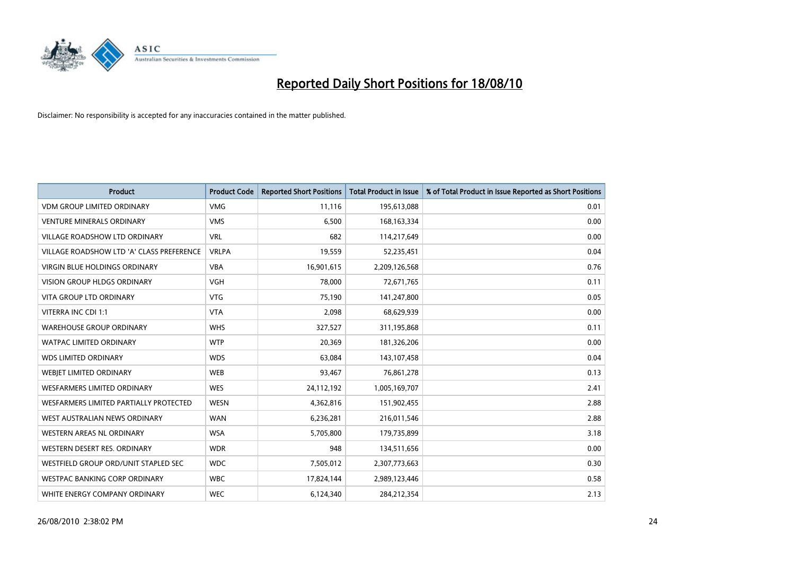

| <b>Product</b>                            | <b>Product Code</b> | <b>Reported Short Positions</b> | <b>Total Product in Issue</b> | % of Total Product in Issue Reported as Short Positions |
|-------------------------------------------|---------------------|---------------------------------|-------------------------------|---------------------------------------------------------|
| <b>VDM GROUP LIMITED ORDINARY</b>         | <b>VMG</b>          | 11,116                          | 195,613,088                   | 0.01                                                    |
| <b>VENTURE MINERALS ORDINARY</b>          | <b>VMS</b>          | 6,500                           | 168, 163, 334                 | 0.00                                                    |
| <b>VILLAGE ROADSHOW LTD ORDINARY</b>      | <b>VRL</b>          | 682                             | 114,217,649                   | 0.00                                                    |
| VILLAGE ROADSHOW LTD 'A' CLASS PREFERENCE | <b>VRLPA</b>        | 19,559                          | 52,235,451                    | 0.04                                                    |
| <b>VIRGIN BLUE HOLDINGS ORDINARY</b>      | <b>VBA</b>          | 16,901,615                      | 2,209,126,568                 | 0.76                                                    |
| <b>VISION GROUP HLDGS ORDINARY</b>        | <b>VGH</b>          | 78,000                          | 72,671,765                    | 0.11                                                    |
| <b>VITA GROUP LTD ORDINARY</b>            | <b>VTG</b>          | 75.190                          | 141,247,800                   | 0.05                                                    |
| VITERRA INC CDI 1:1                       | <b>VTA</b>          | 2,098                           | 68,629,939                    | 0.00                                                    |
| <b>WAREHOUSE GROUP ORDINARY</b>           | <b>WHS</b>          | 327,527                         | 311,195,868                   | 0.11                                                    |
| <b>WATPAC LIMITED ORDINARY</b>            | <b>WTP</b>          | 20,369                          | 181,326,206                   | 0.00                                                    |
| <b>WDS LIMITED ORDINARY</b>               | <b>WDS</b>          | 63,084                          | 143,107,458                   | 0.04                                                    |
| WEBJET LIMITED ORDINARY                   | <b>WEB</b>          | 93,467                          | 76,861,278                    | 0.13                                                    |
| <b>WESFARMERS LIMITED ORDINARY</b>        | <b>WES</b>          | 24,112,192                      | 1,005,169,707                 | 2.41                                                    |
| WESFARMERS LIMITED PARTIALLY PROTECTED    | <b>WESN</b>         | 4,362,816                       | 151,902,455                   | 2.88                                                    |
| WEST AUSTRALIAN NEWS ORDINARY             | <b>WAN</b>          | 6,236,281                       | 216,011,546                   | 2.88                                                    |
| WESTERN AREAS NL ORDINARY                 | <b>WSA</b>          | 5,705,800                       | 179,735,899                   | 3.18                                                    |
| WESTERN DESERT RES. ORDINARY              | <b>WDR</b>          | 948                             | 134,511,656                   | 0.00                                                    |
| WESTFIELD GROUP ORD/UNIT STAPLED SEC      | <b>WDC</b>          | 7,505,012                       | 2,307,773,663                 | 0.30                                                    |
| <b>WESTPAC BANKING CORP ORDINARY</b>      | <b>WBC</b>          | 17,824,144                      | 2,989,123,446                 | 0.58                                                    |
| WHITE ENERGY COMPANY ORDINARY             | <b>WEC</b>          | 6,124,340                       | 284,212,354                   | 2.13                                                    |